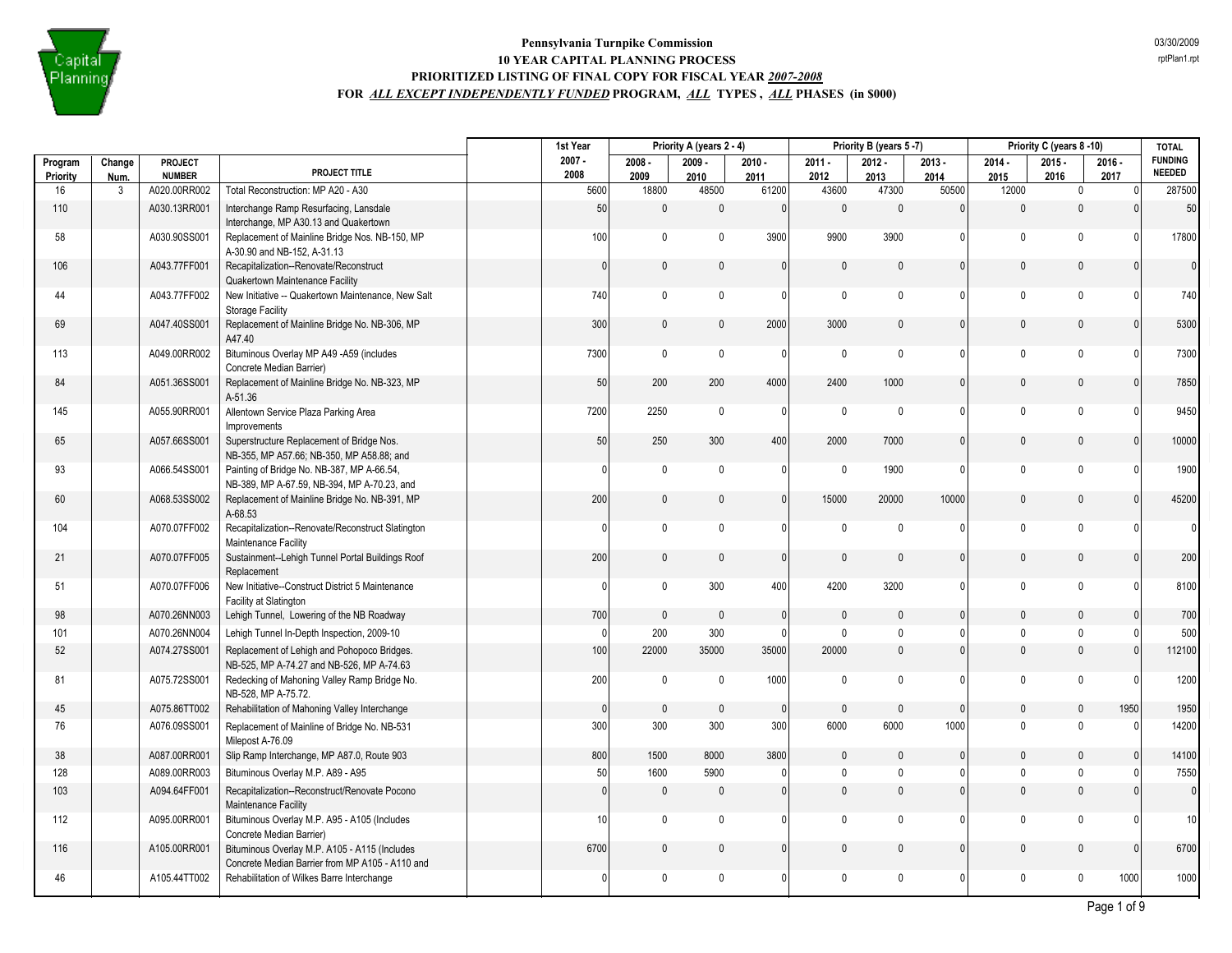

|                |           |                                 |                                                                                                        | 1st Year |                 |               | Priority A (years 2 - 4) |               |               | Priority B (years 5-7) |               |               | Priority C (years 8-10) |                     | <b>TOTAL</b>                    |
|----------------|-----------|---------------------------------|--------------------------------------------------------------------------------------------------------|----------|-----------------|---------------|--------------------------|---------------|---------------|------------------------|---------------|---------------|-------------------------|---------------------|---------------------------------|
| Program        | Change    | <b>PROJECT</b><br><b>NUMBER</b> | PROJECT TITLE                                                                                          | $2007 -$ | 2008            | $2008 -$      | $2009 -$                 | $2010 -$      | $2011 -$      | $2012 -$               | $2013 -$      | $2014 -$      | $2015 -$                | $2016 -$            | <b>FUNDING</b><br><b>NEEDED</b> |
| Priority<br>16 | Num.<br>3 | A020.00RR002                    | Total Reconstruction: MP A20 - A30                                                                     |          | 5600            | 2009<br>18800 | 2010<br>48500            | 2011<br>61200 | 2012<br>43600 | 2013<br>47300          | 2014<br>50500 | 2015<br>12000 | 2016<br>$\pmb{0}$       | 2017<br>$\mathbf 0$ | 287500                          |
| 110            |           | A030.13RR001                    | Interchange Ramp Resurfacing, Lansdale                                                                 |          | 50              | $\mathbf 0$   | $\mathbf{0}$             | $\mathbf{0}$  | $\theta$      | $\mathbf{0}$           | 0             | $\mathbf{0}$  | $\mathbf{0}$            | $\mathbf{0}$        | 50                              |
| 58             |           | A030.90SS001                    | Interchange, MP A30.13 and Quakertown<br>Replacement of Mainline Bridge Nos. NB-150, MP                |          | 100             | $\mathbf 0$   | 0                        | 3900          | 9900          | 3900                   | 0             | $\mathbf 0$   | $\Omega$                | $\Omega$            | 17800                           |
| 106            |           | A043.77FF001                    | A-30.90 and NB-152, A-31.13<br>Recapitalization--Renovate/Reconstruct                                  |          | $\mathbf{0}$    | $\mathbf 0$   | $\mathbf{0}$             | $\mathbf{0}$  | $\theta$      | $\pmb{0}$              | $\Omega$      | $\pmb{0}$     | $\mathbf{0}$            | $\Omega$            | $\overline{0}$                  |
| 44             |           | A043.77FF002                    | Quakertown Maintenance Facility<br>New Initiative -- Quakertown Maintenance, New Salt                  |          | 740             | $\mathbf 0$   | 0                        | $\mathbf{0}$  | $\mathbf 0$   | $\mathbf 0$            | U             | $\mathbf 0$   | $\mathbf 0$             |                     | 740                             |
| 69             |           | A047.40SS001                    | Storage Facility<br>Replacement of Mainline Bridge No. NB-306, MP                                      |          | 300             | $\mathbf 0$   | $\mathbf{0}$             | 2000          | 3000          | $\mathbf{0}$           | 0             | $\mathbf{0}$  | $\Omega$                | $\Omega$            | 5300                            |
| 113            |           | A049.00RR002                    | A47.40<br>Bituminous Overlay MP A49 -A59 (includes                                                     |          | 7300            | $\mathbf 0$   | 0                        | $\Omega$      | $\Omega$      | $\mathbf 0$            | 0             | $\mathbf 0$   | $\mathbf{0}$            | $\Omega$            | 7300                            |
| 84             |           | A051.36SS001                    | Concrete Median Barrier)<br>Replacement of Mainline Bridge No. NB-323, MP                              |          | 50              | 200           | 200                      | 4000          | 2400          | 1000                   | $\mathbf{0}$  | $\mathbf{0}$  | $\mathbf{0}$            | $\Omega$            | 7850                            |
| 145            |           | A055.90RR001                    | A-51.36<br>Allentown Service Plaza Parking Area                                                        |          | 7200            | 2250          | $\mathbf 0$              | $\mathbf{0}$  | $\mathbf 0$   | $\mathbf 0$            | 0             | $\mathbf 0$   | $\mathbf{0}$            | $\Omega$            | 9450                            |
| 65             |           | A057.66SS001                    | Improvements<br>Superstructure Replacement of Bridge Nos.<br>NB-355, MP A57.66; NB-350, MP A58.88; and |          | 50              | 250           | 300                      | 400           | 2000          | 7000                   | 0             | $\mathbf{0}$  | $\mathbf{0}$            | $\Omega$            | 10000                           |
| 93             |           | A066.54SS001                    | Painting of Bridge No. NB-387, MP A-66.54,<br>NB-389, MP A-67.59, NB-394, MP A-70.23, and              |          | $\Omega$        | $\mathbf 0$   | $\pmb{0}$                | 0             | $\mathbf 0$   | 1900                   | 0             | $\mathbf 0$   | $\Omega$                | $\Omega$            | 1900                            |
| 60             |           | A068.53SS002                    | Replacement of Mainline Bridge No. NB-391, MP<br>A-68.53                                               |          | 200             | $\mathbb O$   | 0                        | $\mathbf{0}$  | 15000         | 20000                  | 10000         | $\pmb{0}$     | $\Omega$                |                     | 45200                           |
| 104            |           | A070.07FF002                    | Recapitalization--Renovate/Reconstruct Slatington<br>Maintenance Facility                              |          | 0               | $\mathbf 0$   | 0                        | $\mathbf{0}$  | $\mathbf{0}$  | 0                      | 0             | $\mathbf 0$   | $\mathbf 0$             |                     | 01                              |
| 21             |           | A070.07FF005                    | Sustainment--Lehigh Tunnel Portal Buildings Roof<br>Replacement                                        |          | 200             | $\mathbf 0$   | 0                        | $\Omega$      | 0             | $\mathbf{0}$           | 0             | $\mathbf{0}$  | $\Omega$                | $\Omega$            | 200                             |
| 51             |           | A070.07FF006                    | New Initiative--Construct District 5 Maintenance<br>Facility at Slatington                             |          | $\Omega$        | $\mathbf 0$   | 300                      | 400           | 4200          | 3200                   | 0             | $\mathbf 0$   | $\mathbf{0}$            | $\Omega$            | 8100                            |
| 98             |           | A070.26NN003                    | Lehigh Tunnel, Lowering of the NB Roadway                                                              |          | 700             | $\mathbf{0}$  | $\mathbf{0}$             | $\mathbf{0}$  | $\Omega$      | $\Omega$               | $\mathbf{0}$  | $\mathbf{0}$  | $\mathbf{0}$            | $\Omega$            | 700                             |
| 101            |           | A070.26NN004                    | Lehigh Tunnel In-Depth Inspection, 2009-10                                                             |          | $\Omega$        | 200           | 300                      | $\mathbf{0}$  | $\mathbf{0}$  | $\mathbf 0$            | 0             | $\mathbf 0$   | $\mathbf{0}$            |                     | 500                             |
| 52             |           | A074.27SS001                    | Replacement of Lehigh and Pohopoco Bridges.<br>NB-525, MP A-74.27 and NB-526, MP A-74.63               |          | 100             | 22000         | 35000                    | 35000         | 20000         | $\mathbf{0}$           | $\Omega$      | $\mathbf{0}$  | $\Omega$                |                     | 112100                          |
| 81             |           | A075.72SS001                    | Redecking of Mahoning Valley Ramp Bridge No.<br>NB-528, MP A-75.72.                                    |          | 200             | $\mathbf 0$   | 0                        | 1000          | $\mathbf{0}$  | 0                      | 0             | $\mathbf 0$   | $\pmb{0}$               | $\Omega$            | 1200                            |
| 45             |           | A075.86TT002                    | Rehabilitation of Mahoning Valley Interchange                                                          |          | $\mathbf{0}$    | $\mathbf 0$   | 0                        | 0             | $\mathbf{0}$  | $\mathbf{0}$           | $\mathbf{0}$  | $\mathbf{0}$  | $\mathbf{0}$            | 1950                | 1950                            |
| 76             |           | A076.09SS001                    | Replacement of Mainline of Bridge No. NB-531<br>Milepost A-76.09                                       |          | 300             | 300           | 300                      | 300           | 6000          | 6000                   | 1000          | $\mathbf{0}$  | $\Omega$                | $\mathbf{0}$        | 14200                           |
| 38             |           | A087.00RR001                    | Slip Ramp Interchange, MP A87.0, Route 903                                                             |          | 800             | 1500          | 8000                     | 3800          | $\theta$      | $\mathbf{0}$           | $\mathbf{0}$  | $\mathbf{0}$  | $\mathbf{0}$            | $\mathbf{0}$        | 14100                           |
| 128            |           | A089.00RR003                    | Bituminous Overlay M.P. A89 - A95                                                                      |          | 50              | 1600          | 5900                     | $\mathbf{0}$  | $\mathbf{0}$  | $\mathbf 0$            | 0             | $\mathbf 0$   | $\mathbf 0$             | $\Omega$            | 7550                            |
| 103            |           | A094.64FF001                    | Recapitalization--Reconstruct/Renovate Pocono<br>Maintenance Facility                                  |          | 0               | $\mathbf{0}$  | $\mathbf{0}$             | $\mathbf{0}$  | $\mathbf{0}$  | $\mathbf 0$            | $\Omega$      | $\mathbf{0}$  | $\mathbf 0$             | $\mathbf{0}$        | $\overline{0}$                  |
| 112            |           | A095.00RR001                    | Bituminous Overlay M.P. A95 - A105 (Includes<br>Concrete Median Barrier)                               |          | 10 <sup>1</sup> | $\mathbf 0$   | 0                        | 0             | $\mathbf 0$   | $\mathbf 0$            | 0             | $\mathbf 0$   | $\mathbf 0$             | $\Omega$            | 10                              |
| 116            |           | A105.00RR001                    | Bituminous Overlay M.P. A105 - A115 (Includes<br>Concrete Median Barrier from MP A105 - A110 and       |          | 6700            | $\mathbf 0$   | 0                        | $\mathbf{0}$  | 0             | $\pmb{0}$              | 0             | $\mathbf{0}$  | $\mathbf{0}$            | $\Omega$            | 6700                            |
| 46             |           | A105.44TT002                    | Rehabilitation of Wilkes Barre Interchange                                                             |          | 0               | $\mathbf 0$   | 0                        | $\mathbf{0}$  | $\mathbf 0$   | $\pmb{0}$              | 0             | $\mathbf 0$   | $\mathbf{0}$            | 1000                | 1000                            |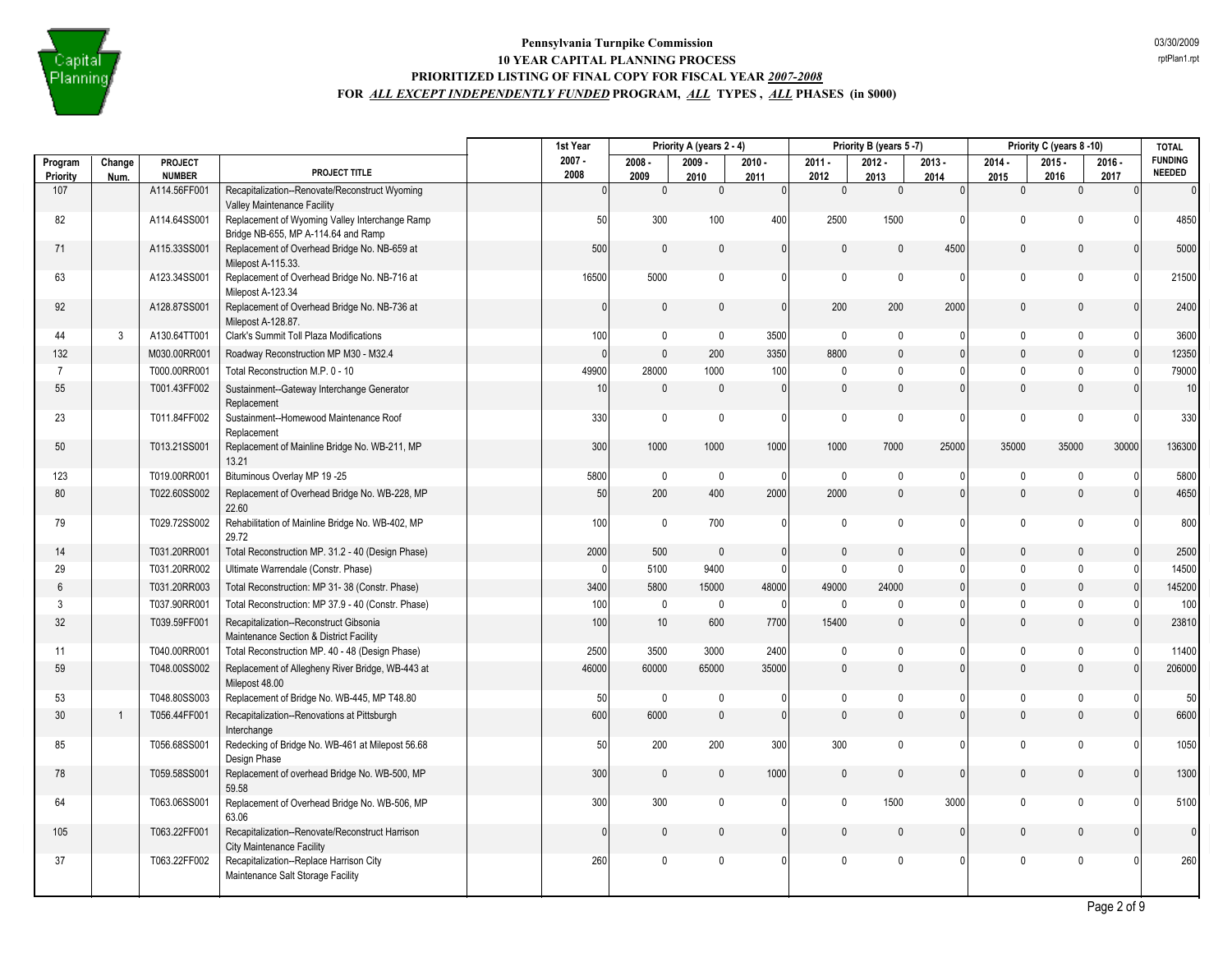

|                     |                |                          |                                                                                       | 1st Year         |                  | Priority A (years 2 - 4) |                  |                  | Priority B (years 5-7) |                  |                      | Priority C (years 8 -10) |                  | <b>TOTAL</b>                    |
|---------------------|----------------|--------------------------|---------------------------------------------------------------------------------------|------------------|------------------|--------------------------|------------------|------------------|------------------------|------------------|----------------------|--------------------------|------------------|---------------------------------|
| Program<br>Priority | Change         | PROJECT<br><b>NUMBER</b> | PROJECT TITLE                                                                         | $2007 -$<br>2008 | $2008 -$<br>2009 | $2009 -$                 | $2010 -$         | $2011 -$<br>2012 | $2012 -$               | $2013 -$         | $2014 -$             | $2015 -$<br>2016         | $2016 -$<br>2017 | <b>FUNDING</b><br><b>NEEDED</b> |
| 107                 | Num.           | A114.56FF001             | Recapitalization--Renovate/Reconstruct Wyoming                                        | $\Omega$         | $\mathbf 0$      | 2010<br>$\mathbf{0}$     | 2011<br>$\Omega$ | $\mathbf 0$      | 2013<br>$\pmb{0}$      | 2014<br>$\Omega$ | 2015<br>$\mathbf{0}$ | $\mathbf{0}$             | $\Omega$         | $\overline{0}$                  |
|                     |                |                          | Valley Maintenance Facility                                                           |                  |                  |                          |                  |                  |                        |                  |                      |                          |                  |                                 |
| 82                  |                | A114.64SS001             | Replacement of Wyoming Valley Interchange Ramp<br>Bridge NB-655, MP A-114.64 and Ramp | 50               | 300              | 100                      | 400              | 2500             | 1500                   | $\Omega$         | $\mathbf{0}$         | $\Omega$                 | $\Omega$         | 4850                            |
| 71                  |                | A115.33SS001             | Replacement of Overhead Bridge No. NB-659 at<br>Milepost A-115.33.                    | 500              | $\mathbf 0$      | $\mathbf{0}$             | $\mathbf{0}$     | $\Omega$         | $\mathbf{0}$           | 4500             | $\mathbf 0$          | $\Omega$                 | $\Omega$         | 5000                            |
| 63                  |                | A123.34SS001             | Replacement of Overhead Bridge No. NB-716 at<br>Milepost A-123.34                     | 16500            | 5000             | 0                        | 0                | $\pmb{0}$        | $\mathbf 0$            | $\mathbf 0$      | $\mathbf 0$          | $\mathbf 0$              | $\Omega$         | 21500                           |
| 92                  |                | A128.87SS001             | Replacement of Overhead Bridge No. NB-736 at<br>Milepost A-128.87.                    | $\mathbf{0}$     | $\mathbf 0$      | $\pmb{0}$                | $\mathbf{0}$     | 200              | 200                    | 2000             | $\mathbf{0}$         | $\mathbf{0}$             | $\Omega$         | 2400                            |
| 44                  | 3              | A130.64TT001             | Clark's Summit Toll Plaza Modifications                                               | 100              | $\mathbf 0$      | 0                        | 3500             | 0                | $\mathbf 0$            | 0                | 0                    | $\mathbf 0$              | $\Omega$         | 3600                            |
| 132                 |                | M030.00RR001             | Roadway Reconstruction MP M30 - M32.4                                                 | $\mathbf{0}$     | $\mathbb O$      | 200                      | 3350             | 8800             | $\mathbf{0}$           | $\mathbf{0}$     | $\mathbf{0}$         | $\theta$                 | $\Omega$         | 12350                           |
| $\overline{7}$      |                | T000.00RR001             | Total Reconstruction M.P. 0 - 10                                                      | 49900            | 28000            | 1000                     | 100              | $\mathbf{0}$     | $\mathbf 0$            | 0                | $\pmb{0}$            | $\mathbf{0}$             | $\Omega$         | 79000                           |
| 55                  |                | T001.43FF002             | Sustainment--Gateway Interchange Generator<br>Replacement                             | 10 <sup>1</sup>  | $\mathbf 0$      | $\mathbf{0}$             | $\mathbf{0}$     | $\mathbf{0}$     | $\mathbf{0}$           | $\mathbf{0}$     | $\mathbf{0}$         | $\mathbf{0}$             |                  | 10 <sup>1</sup>                 |
| 23                  |                | T011.84FF002             | Sustainment--Homewood Maintenance Roof<br>Replacement                                 | 330              | $\mathbf 0$      | $\mathbf{0}$             | $\mathbf{0}$     | $\mathbf 0$      | $\mathbf{0}$           | 0                | $\mathbf{0}$         | $\Omega$                 | $\Omega$         | 330                             |
| 50                  |                | T013.21SS001             | Replacement of Mainline Bridge No. WB-211, MP<br>13.21                                | 300              | 1000             | 1000                     | 1000             | 1000             | 7000                   | 25000            | 35000                | 35000                    | 30000            | 136300                          |
| 123                 |                | T019.00RR001             | Bituminous Overlay MP 19 -25                                                          | 5800             | $\mathbf 0$      | 0                        | 0                | $\mathbf 0$      | $\mathbf 0$            | 0                | $\mathbf{0}$         | $\mathbf{0}$             | $\Omega$         | 5800                            |
| 80                  |                | T022.60SS002             | Replacement of Overhead Bridge No. WB-228, MP<br>22.60                                | 50               | 200              | 400                      | 2000             | 2000             | $\pmb{0}$              | $\mathbf{0}$     | $\mathbf{0}$         | $\mathbf{0}$             | $\Omega$         | 4650                            |
| 79                  |                | T029.72SS002             | Rehabilitation of Mainline Bridge No. WB-402, MP<br>29.72                             | 100              | $\mathbf 0$      | 700                      | $\mathbf{0}$     | $\mathbf 0$      | $\mathbf{0}$           | 0                | $\mathbf 0$          | $\mathbf 0$              | $\Omega$         | 800                             |
| 14                  |                | T031.20RR001             | Total Reconstruction MP. 31.2 - 40 (Design Phase)                                     | 2000             | 500              | $\mathbf{0}$             | $\mathbf{0}$     | $\mathbf{0}$     | $\mathbf{0}$           | $\mathbf{0}$     | $\mathbf{0}$         | $\mathbf{0}$             | $\Omega$         | 2500                            |
| 29                  |                | T031.20RR002             | Ultimate Warrendale (Constr. Phase)                                                   | $\Omega$         | 5100             | 9400                     | $\Omega$         | $\mathbf{0}$     | $\mathbf{0}$           | $\Omega$         | $\mathbf 0$          | $\mathbf{0}$             | $\Omega$         | 14500                           |
| $6\phantom{1}$      |                | T031.20RR003             | Total Reconstruction: MP 31-38 (Constr. Phase)                                        | 3400             | 5800             | 15000                    | 48000            | 49000            | 24000                  | 0                | $\mathbf{0}$         | $\mathbf{0}$             |                  | 145200                          |
| 3                   |                | T037.90RR001             | Total Reconstruction: MP 37.9 - 40 (Constr. Phase)                                    | 100              | $\mathbf 0$      | 0                        | $\overline{0}$   | $\mathbf 0$      | $\mathbf{0}$           | $\mathbf{0}$     | $\mathbf{0}$         | $\mathbf{0}$             |                  | 100                             |
| 32                  |                | T039.59FF001             | Recapitalization--Reconstruct Gibsonia<br>Maintenance Section & District Facility     | 100              | 10               | 600                      | 7700             | 15400            | $\pmb{0}$              | $\Omega$         | $\mathbb O$          | $\mathbf{0}$             | $\Omega$         | 23810                           |
| 11                  |                | T040.00RR001             | Total Reconstruction MP. 40 - 48 (Design Phase)                                       | 2500             | 3500             | 3000                     | 2400             | $\Omega$         | $\mathbf 0$            | <sup>0</sup>     | $\mathbf{0}$         | $\mathbf 0$              | $\Omega$         | 11400                           |
| 59                  |                | T048.00SS002             | Replacement of Allegheny River Bridge, WB-443 at<br>Milepost 48.00                    | 46000            | 60000            | 65000                    | 35000            | $\mathbf{0}$     | $\mathbf{0}$           | $\mathbf{0}$     | $\mathbf{0}$         | $\Omega$                 | $\Omega$         | 206000                          |
| 53                  |                | T048.80SS003             | Replacement of Bridge No. WB-445, MP T48.80                                           | 50               | $\mathbf 0$      | 0                        | $\mathbf{0}$     | $\mathbf 0$      | 0                      | 0                | $\mathbf 0$          | $\mathbf 0$              | - 0              | 50                              |
| 30                  | $\overline{1}$ | T056.44FF001             | Recapitalization--Renovations at Pittsburgh<br>Interchange                            | 600              | 6000             | $\pmb{0}$                | $\mathbf{0}$     | $\mathbf{0}$     | $\mathbf 0$            | $\mathbf 0$      | $\mathbf 0$          | $\mathbf{0}$             | $\Omega$         | 6600                            |
| 85                  |                | T056.68SS001             | Redecking of Bridge No. WB-461 at Milepost 56.68<br>Design Phase                      | 50               | 200              | 200                      | 300              | 300              | $\mathbf 0$            | $\Omega$         | $\mathbf 0$          | $\mathbf 0$              | $\Omega$         | 1050                            |
| 78                  |                | T059.58SS001             | Replacement of overhead Bridge No. WB-500, MP<br>59.58                                | 300              | $\mathbf 0$      | $\mathbf{0}$             | 1000             | $\mathbf{0}$     | $\mathbf{0}$           | $\mathbf 0$      | $\mathbf{0}$         | $\mathbf{0}$             | $\mathbf{0}$     | 1300                            |
| 64                  |                | T063.06SS001             | Replacement of Overhead Bridge No. WB-506, MP<br>63.06                                | 300              | 300              | $\mathbf 0$              | 0                | 0                | 1500                   | 3000             | $\mathbf 0$          | $\mathbf{0}$             | $\cap$           | 5100                            |
| 105                 |                | T063.22FF001             | Recapitalization--Renovate/Reconstruct Harrison<br><b>City Maintenance Facility</b>   | 0                | $\mathbf 0$      | $\mathbf{0}$             | $\mathbf{0}$     | $\mathbf{0}$     | $\mathbf{0}$           | $\mathbf{0}$     | $\mathbf{0}$         | $\Omega$                 |                  | $\overline{0}$                  |
| 37                  |                | T063.22FF002             | Recapitalization--Replace Harrison City<br>Maintenance Salt Storage Facility          | 260              | $\mathbf{0}$     | $\mathbf{0}$             | $\mathbf{0}$     | $\mathbf 0$      | $\mathbf 0$            | 0                | $\pmb{0}$            | $\mathbf{0}$             |                  | 260                             |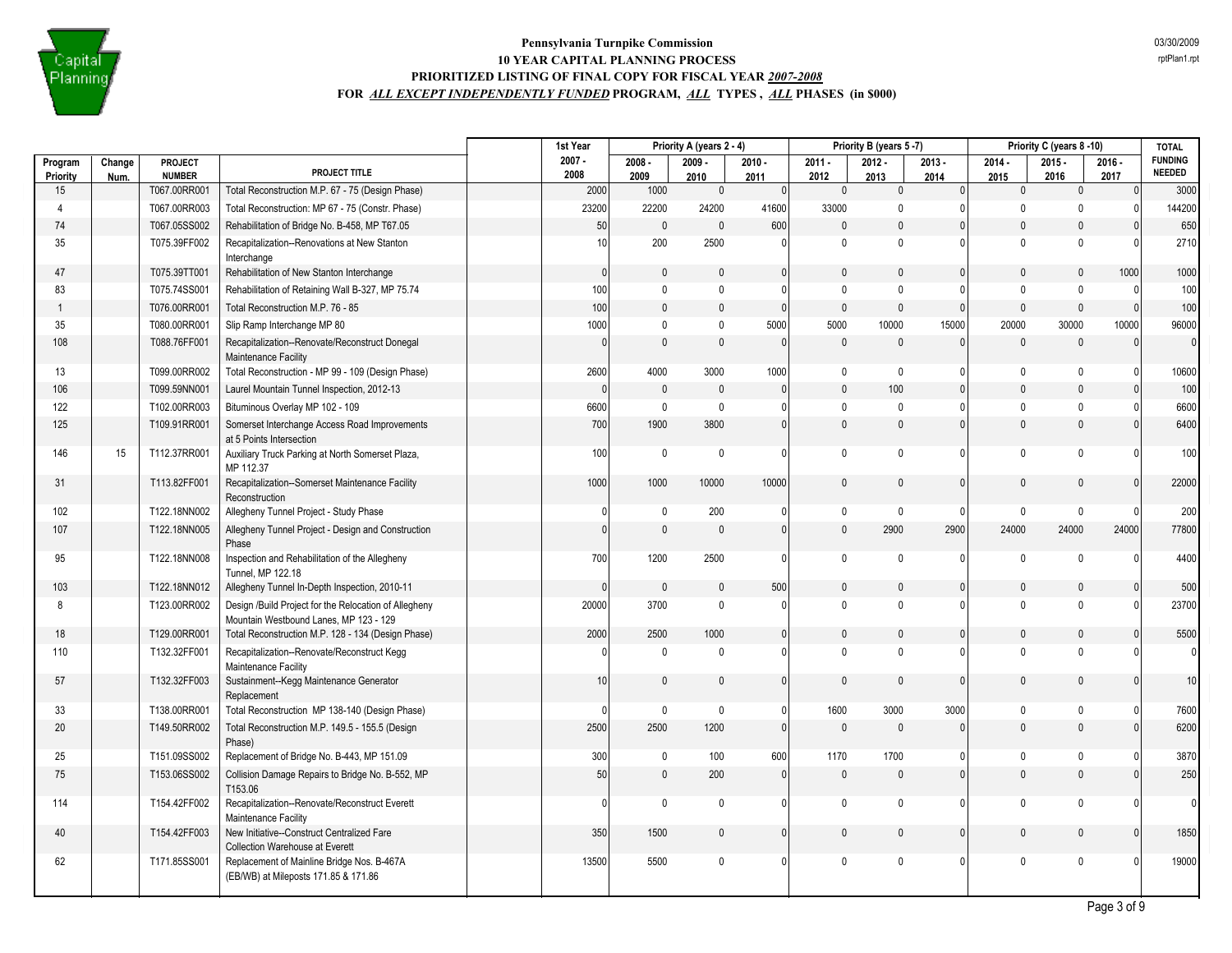

|                     |                |                          |                                                                                                 | 1st Year         |                  | Priority A (years 2 - 4) |                  |                  | Priority B (years 5-7) |                  |                  | Priority C (years 8-10) |                  | <b>TOTAL</b>                    |
|---------------------|----------------|--------------------------|-------------------------------------------------------------------------------------------------|------------------|------------------|--------------------------|------------------|------------------|------------------------|------------------|------------------|-------------------------|------------------|---------------------------------|
| Program<br>Priority | Change<br>Num. | PROJECT<br><b>NUMBER</b> | PROJECT TITLE                                                                                   | $2007 -$<br>2008 | $2008 -$<br>2009 | $2009 -$<br>2010         | $2010 -$<br>2011 | $2011 -$<br>2012 | $2012 -$<br>2013       | $2013 -$<br>2014 | $2014 -$<br>2015 | $2015 -$<br>2016        | $2016 -$<br>2017 | <b>FUNDING</b><br><b>NEEDED</b> |
| 15                  |                | T067.00RR001             | Total Reconstruction M.P. 67 - 75 (Design Phase)                                                | 2000             | 1000             | $\pmb{0}$                | $\mathbf{0}$     | $\mathbf 0$      | $\mathbf 0$            | $\mathbf{0}$     | $\pmb{0}$        | $\mathbf{0}$            | $\mathbf{0}$     | 3000                            |
| $\overline{4}$      |                | T067.00RR003             | Total Reconstruction: MP 67 - 75 (Constr. Phase)                                                | 23200            | 22200            | 24200                    | 41600            | 33000            | $\mathbf{0}$           |                  | $\Omega$         | $\mathbf{0}$            | $\Omega$         | 144200                          |
| 74                  |                | T067.05SS002             | Rehabilitation of Bridge No. B-458, MP T67.05                                                   | 50               | $\mathbb O$      | $\pmb{0}$                | 600              | $\mathbf{0}$     | $\mathbf 0$            | $\Omega$         | $\mathbf{0}$     | $\Omega$                | $\Omega$         | 650                             |
| 35                  |                | T075.39FF002             | Recapitalization--Renovations at New Stanton<br>Interchange                                     | 10 <sup>1</sup>  | 200              | 2500                     | $\Omega$         | $\mathbf{0}$     | $\mathbf 0$            | 0                | $\mathbf{0}$     | $\Omega$                | $\Omega$         | 2710                            |
| 47                  |                | T075.39TT001             | Rehabilitation of New Stanton Interchange                                                       | $\mathbf{0}$     | $\mathbf 0$      | 0                        | $\mathbf{0}$     | 0                | $\mathbf{0}$           | 0                | $\mathbf{0}$     | $\mathbf{0}$            | 1000             | 1000                            |
| 83                  |                | T075.74SS001             | Rehabilitation of Retaining Wall B-327, MP 75.74                                                | 100              | $\mathbf 0$      | $\pmb{0}$                | $\mathbf{0}$     | $\mathbf 0$      | $\mathbf 0$            | n                | $\mathbf 0$      | $\mathbf{0}$            | $\mathbf{0}$     | 100                             |
| $\overline{1}$      |                | T076.00RR001             | Total Reconstruction M.P. 76 - 85                                                               | 100              | $\mathsf 0$      | $\pmb{0}$                | $\mathbf{0}$     | $\mathbf{0}$     | $\mathbf{0}$           | 0                | $\mathbf{0}$     | $\mathbf{0}$            | $\mathbf{0}$     | 100                             |
| 35                  |                | T080.00RR001             | Slip Ramp Interchange MP 80                                                                     | 1000             | $\mathbf 0$      | $\pmb{0}$                | 5000             | 5000             | 10000                  | 15000            | 20000            | 30000                   | 10000            | 96000                           |
| 108                 |                | T088.76FF001             | Recapitalization--Renovate/Reconstruct Donegal<br>Maintenance Facility                          | $\Omega$         | $\mathbf{0}$     | 0                        | $\Omega$         | $\mathbf{0}$     | $\mathbf{0}$           | 0                | $\Omega$         | $\mathbf{0}$            | $\Omega$         | $\Omega$                        |
| 13                  |                | T099.00RR002             | Total Reconstruction - MP 99 - 109 (Design Phase)                                               | 2600             | 4000             | 3000                     | 1000             | $\mathbf 0$      | $\mathbf 0$            | 0                | $\mathbf 0$      | $\mathbf{0}$            | $\Omega$         | 10600                           |
| 106                 |                | T099.59NN001             | Laurel Mountain Tunnel Inspection, 2012-13                                                      | $\mathbf{0}$     | $\mathbf 0$      | $\pmb{0}$                | $\mathbf{0}$     | $\mathbf 0$      | 100                    | $\Omega$         | $\mathbf 0$      | $\Omega$                | $\Omega$         | 100                             |
| 122                 |                | T102.00RR003             | Bituminous Overlay MP 102 - 109                                                                 | 6600             | $\mathbf 0$      | $\mathbf 0$              | 0                | $\mathbf{0}$     | 0                      | U                | $\mathbf{0}$     | $\Omega$                | $\Omega$         | 6600                            |
| 125                 |                | T109.91RR001             | Somerset Interchange Access Road Improvements<br>at 5 Points Intersection                       | 700              | 1900             | 3800                     | $\mathbf{0}$     | $\mathbf{0}$     | $\mathbf 0$            | $\Omega$         | $\mathbf{0}$     | $\Omega$                | $\Omega$         | 6400                            |
| 146                 | 15             | T112.37RR001             | Auxiliary Truck Parking at North Somerset Plaza,<br>MP 112.37                                   | 100              | $\mathbf 0$      | $\pmb{0}$                | $\Omega$         | $\mathsf{O}$     | $\mathbf 0$            | n                | $\mathbf 0$      | $\Omega$                | $\Omega$         | 100                             |
| 31                  |                | T113.82FF001             | Recapitalization--Somerset Maintenance Facility<br>Reconstruction                               | 1000             | 1000             | 10000                    | 10000            | $\mathbf{0}$     | $\mathbf{0}$           | $\mathbf{0}$     | $\mathbf{0}$     | $\mathbf{0}$            | $\Omega$         | 22000                           |
| 102                 |                | T122.18NN002             | Allegheny Tunnel Project - Study Phase                                                          | 0                | $\mathbf 0$      | 200                      | 0                | $\pmb{0}$        | $\mathbf 0$            | 0                | $\mathbf 0$      | $\mathbf{0}$            | $\Omega$         | 200                             |
| 107                 |                | T122.18NN005             | Allegheny Tunnel Project - Design and Construction<br>Phase                                     | $\mathbf{0}$     | $\mathbf{0}$     | $\mathbf{0}$             | $\mathbf{0}$     | $\mathbf{0}$     | 2900                   | 2900             | 24000            | 24000                   | 24000            | 77800                           |
| 95                  |                | T122.18NN008             | Inspection and Rehabilitation of the Allegheny<br>Tunnel, MP 122.18                             | 700              | 1200             | 2500                     | $\Omega$         | $\mathbf 0$      | 0                      | 0                | $\mathbf{0}$     | $\Omega$                | $\Omega$         | 4400                            |
| 103                 |                | T122.18NN012             | Allegheny Tunnel In-Depth Inspection, 2010-11                                                   | $\mathbf{0}$     | $\mathbf{0}$     | $\mathbf{0}$             | 500              | 0                | $\mathbf{0}$           | 0                | $\mathbf{0}$     | $\mathbf{0}$            | $\Omega$         | 500                             |
| 8                   |                | T123.00RR002             | Design /Build Project for the Relocation of Allegheny<br>Mountain Westbound Lanes, MP 123 - 129 | 20000            | 3700             | $\mathbf 0$              | $\Omega$         | $\Omega$         | $\mathbf 0$            | U                | $\mathbf{0}$     | $\Omega$                | $\Omega$         | 23700                           |
| 18                  |                | T129.00RR001             | Total Reconstruction M.P. 128 - 134 (Design Phase)                                              | 2000             | 2500             | 1000                     | $\mathbf{0}$     | $\mathbf{0}$     | $\mathbf{0}$           | $\Omega$         | $\mathbf{0}$     | $\Omega$                | $\Omega$         | 5500                            |
| 110                 |                | T132.32FF001             | Recapitalization--Renovate/Reconstruct Kegg<br>Maintenance Facility                             | O                | $\mathbf 0$      | $\mathbf 0$              | $\Omega$         | $\Omega$         | $\mathbf{0}$           |                  | $\mathbf{0}$     | $\Omega$                |                  | $\Omega$                        |
| 57                  |                | T132.32FF003             | Sustainment--Kegg Maintenance Generator<br>Replacement                                          | 10               | $\mathbb O$      | $\mathbf{0}$             | $\Omega$         | $\Omega$         | $\mathbf{0}$           | $\Omega$         | $\mathbf{0}$     | $\mathbf{0}$            | $\Omega$         | 10                              |
| 33                  |                | T138.00RR001             | Total Reconstruction MP 138-140 (Design Phase)                                                  | $\Omega$         | $\mathbf 0$      | $\pmb{0}$                | 0                | 1600             | 3000                   | 3000             | $\pmb{0}$        | $\mathbf 0$             | $\Omega$         | 7600                            |
| 20                  |                | T149.50RR002             | Total Reconstruction M.P. 149.5 - 155.5 (Design<br>Phase)                                       | 2500             | 2500             | 1200                     | $\mathbf{0}$     | $\mathbf{0}$     | $\mathbf{0}$           | 0                | $\mathbf{0}$     | $\mathbf{0}$            | $\overline{0}$   | 6200                            |
| 25                  |                | T151.09SS002             | Replacement of Bridge No. B-443, MP 151.09                                                      | 300              | $\mathbf 0$      | 100                      | 600              | 1170             | 1700                   | 0                | 0                | $\mathbf{0}$            | $\Omega$         | 3870                            |
| 75                  |                | T153.06SS002             | Collision Damage Repairs to Bridge No. B-552, MP<br>T153.06                                     | 50               | $\mathsf 0$      | 200                      | $\mathbf{0}$     | $\mathbf{0}$     | $\mathbf{0}$           | $\Omega$         | $\mathbf 0$      | $\mathbf{0}$            |                  | 250                             |
| 114                 |                | T154.42FF002             | Recapitalization--Renovate/Reconstruct Everett<br>Maintenance Facility                          | 0                | $\mathbf 0$      | $\pmb{0}$                | $\mathbf{0}$     | $\mathbf 0$      | $\mathbf 0$            | U                | $\mathbf 0$      | $\mathbf{0}$            | $\Omega$         | $\overline{0}$                  |
| 40                  |                | T154.42FF003             | New Initiative--Construct Centralized Fare<br>Collection Warehouse at Everett                   | 350              | 1500             | 0                        | $\mathbf{0}$     | $\mathbf{0}$     | $\mathbf{0}$           | $\Omega$         | $\Omega$         | $\mathbf{0}$            | $\Omega$         | 1850                            |
| 62                  |                | T171.85SS001             | Replacement of Mainline Bridge Nos. B-467A<br>(EB/WB) at Mileposts 171.85 & 171.86              | 13500            | 5500             | 0                        | 0                | $\mathbf{0}$     | 0                      | 0                | $\Omega$         | $\mathbf{0}$            | $\Omega$         | 19000                           |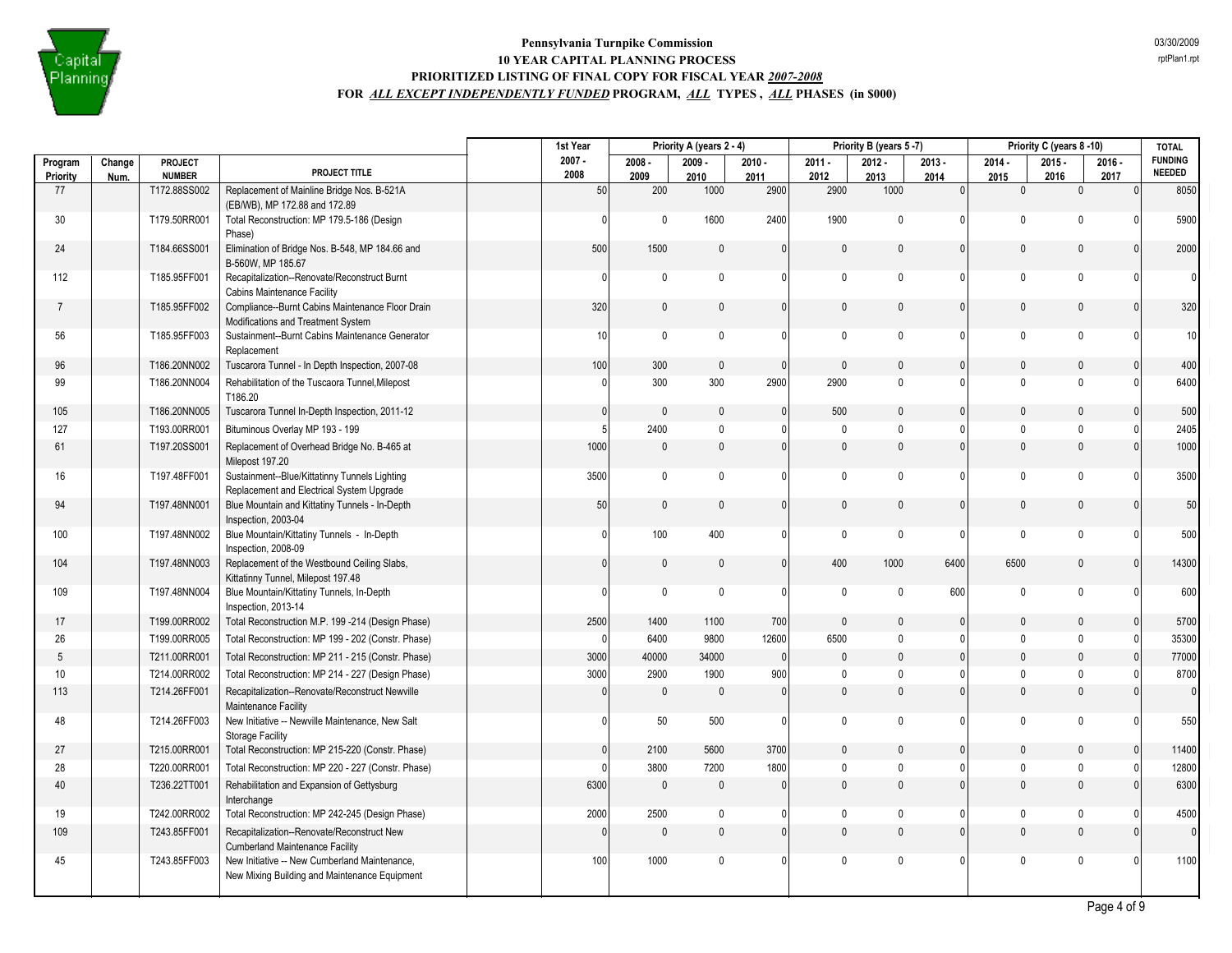

|                     |                |                          |                                                                                                | 1st Year         |                  | Priority A (years 2 - 4) |                  |                  | Priority B (years 5-7) |                  |                  | Priority C (years 8-10) |                  | <b>TOTAL</b>                    |
|---------------------|----------------|--------------------------|------------------------------------------------------------------------------------------------|------------------|------------------|--------------------------|------------------|------------------|------------------------|------------------|------------------|-------------------------|------------------|---------------------------------|
| Program<br>Priority | Change<br>Num. | PROJECT<br><b>NUMBER</b> | PROJECT TITLE                                                                                  | $2007 -$<br>2008 | $2008 -$<br>2009 | $2009 -$<br>2010         | $2010 -$<br>2011 | $2011 -$<br>2012 | $2012 -$<br>2013       | $2013 -$<br>2014 | $2014 -$<br>2015 | $2015 -$<br>2016        | $2016 -$<br>2017 | <b>FUNDING</b><br><b>NEEDED</b> |
| 77                  |                | T172.88SS002             | Replacement of Mainline Bridge Nos. B-521A<br>(EB/WB), MP 172.88 and 172.89                    | 50               | 200              | 1000                     | 2900             | 2900             | 1000                   | $\mathbf{0}$     | $\mathbf{0}$     | $\mathbf{0}$            | $\Omega$         | 8050                            |
| 30                  |                | T179.50RR001             | Total Reconstruction: MP 179.5-186 (Design<br>Phase)                                           | <sup>0</sup>     | $\mathbf 0$      | 1600                     | 2400             | 1900             | $\mathbf{0}$           | $\Omega$         | $\mathbf{0}$     | $\Omega$                | $\cap$           | 5900                            |
| 24                  |                | T184.66SS001             | Elimination of Bridge Nos. B-548, MP 184.66 and<br>B-560W, MP 185.67                           | 500              | 1500             | $\mathbf{0}$             | $\mathbf{0}$     | $\mathbf{0}$     | $\mathbf{0}$           | $\mathbf{0}$     | $\mathbf{0}$     | $\mathbf 0$             | $\Omega$         | 2000                            |
| 112                 |                | T185.95FF001             | Recapitalization--Renovate/Reconstruct Burnt<br><b>Cabins Maintenance Facility</b>             | $\Omega$         | $\mathbf 0$      | $\mathbf{0}$             | $\mathbf{0}$     | 0                | $\mathbf{0}$           | 0                | $\mathbf 0$      | $\mathbf{0}$            | $\Omega$         | $\overline{0}$                  |
| $\overline{7}$      |                | T185.95FF002             | Compliance--Burnt Cabins Maintenance Floor Drain<br>Modifications and Treatment System         | 320              | $\mathbf 0$      | $\mathbf{0}$             | $\mathbf{0}$     | $\mathbf{0}$     | $\mathbf{0}$           | $\mathbf{0}$     | $\mathbf{0}$     | $\mathbf{0}$            | $\Omega$         | 320                             |
| 56                  |                | T185.95FF003             | Sustainment--Burnt Cabins Maintenance Generator<br>Replacement                                 | 10 <sup>1</sup>  | $\mathbf{0}$     | $\mathbf{0}$             | $\mathbf{0}$     | $\mathbf 0$      | $\mathbf{0}$           | $\Omega$         | $\mathbf 0$      | $\mathbf{0}$            | $\Omega$         | 10 <sup>1</sup>                 |
| 96                  |                | T186.20NN002             | Tuscarora Tunnel - In Depth Inspection, 2007-08                                                | 100              | 300              | $\mathbf{0}$             | $\Omega$         | $\mathbf{0}$     | $\mathbf{0}$           | $\mathbf{0}$     | $\mathbf{0}$     | $\Omega$                |                  | 400                             |
| 99                  |                | T186.20NN004             | Rehabilitation of the Tuscaora Tunnel, Milepost<br>T186.20                                     | <sup>0</sup>     | 300              | 300                      | 2900             | 2900             | $\mathbf{0}$           | 0                | $\mathbf 0$      | $\mathbf{0}$            | $\Omega$         | 6400                            |
| 105                 |                | T186.20NN005             | Tuscarora Tunnel In-Depth Inspection, 2011-12                                                  | $\mathbf{0}$     | $\mathbf 0$      | $\mathbf{0}$             | $\mathbf{0}$     | 500              | $\Omega$               | $\mathbf{0}$     | $\mathbf{0}$     | $\mathbf{0}$            | $\Omega$         | 500                             |
| 127                 |                | T193.00RR001             | Bituminous Overlay MP 193 - 199                                                                | 5                | 2400             | $\mathbf{0}$             | $\Omega$         | $\mathbf{0}$     | $\mathbf{0}$           | $\Omega$         | $\pmb{0}$        | $\theta$                |                  | 2405                            |
| 61                  |                | T197.20SS001             | Replacement of Overhead Bridge No. B-465 at<br>Milepost 197.20                                 | 1000             | $\mathbf 0$      | $\mathbf{0}$             | $\mathbf{0}$     | $\mathbf{0}$     | $\mathbf{0}$           | $\mathbf{0}$     | $\mathbf 0$      | $\Omega$                |                  | 1000                            |
| 16                  |                | T197.48FF001             | Sustainment--Blue/Kittatinny Tunnels Lighting<br>Replacement and Electrical System Upgrade     | 3500             | $\mathbf 0$      | $\mathbf{0}$             | $\mathbf{0}$     | 0                | $\mathbf{0}$           | $\mathbf{0}$     | $\mathbf 0$      | $\mathbf{0}$            |                  | 3500                            |
| 94                  |                | T197.48NN001             | Blue Mountain and Kittatiny Tunnels - In-Depth<br>Inspection, 2003-04                          | 50               | $\mathbf{0}$     | $\mathbf{0}$             | $\mathbf{0}$     | $\mathbf{0}$     | $\mathbf{0}$           | $\mathbf{0}$     | $\mathbf{0}$     | $\mathbf{0}$            | $\Omega$         | 50                              |
| 100                 |                | T197.48NN002             | Blue Mountain/Kittatiny Tunnels - In-Depth<br>Inspection, 2008-09                              | $\Omega$         | 100              | 400                      | $\mathbf{0}$     | $\mathbf 0$      | $\mathbf 0$            | $\Omega$         | $\mathbf{0}$     | $\mathbf{0}$            | $\Omega$         | 500                             |
| 104                 |                | T197.48NN003             | Replacement of the Westbound Ceiling Slabs,<br>Kittatinny Tunnel, Milepost 197.48              | $\mathbf{0}$     | $\mathbf{0}$     | $\mathbf{0}$             | $\mathbf{0}$     | 400              | 1000                   | 6400             | 6500             | $\Omega$                | $\Omega$         | 14300                           |
| 109                 |                | T197.48NN004             | Blue Mountain/Kittatiny Tunnels, In-Depth<br>Inspection, 2013-14                               | $\Omega$         | $\mathbf 0$      | $\mathbf{0}$             | $\Omega$         | $\pmb{0}$        | $\pmb{0}$              | 600              | $\mathbf 0$      | $\mathbf{0}$            | $\Omega$         | 600                             |
| 17                  |                | T199.00RR002             | Total Reconstruction M.P. 199 -214 (Design Phase)                                              | 2500             | 1400             | 1100                     | 700              | $\mathbf{0}$     | $\mathbf{0}$           | $\mathbf{0}$     | $\mathbf{0}$     | $\mathbf{0}$            | $\Omega$         | 5700                            |
| 26                  |                | T199.00RR005             | Total Reconstruction: MP 199 - 202 (Constr. Phase)                                             | $\Omega$         | 6400             | 9800                     | 12600            | 6500             | 0                      | $\mathbf{0}$     | $\mathbf 0$      | $\mathbf 0$             | $\Omega$         | 35300                           |
| 5                   |                | T211.00RR001             | Total Reconstruction: MP 211 - 215 (Constr. Phase)                                             | 3000             | 40000            | 34000                    | $\Omega$         | $\Omega$         | $\mathbf{0}$           | $\Omega$         | $\Omega$         | $\Omega$                |                  | 77000                           |
| 10                  |                | T214.00RR002             | Total Reconstruction: MP 214 - 227 (Design Phase)                                              | 3000             | 2900             | 1900                     | 900              | $\mathbf{0}$     | $\mathbf{0}$           | <sup>0</sup>     | $\mathbf{0}$     | $\Omega$                |                  | 8700                            |
| 113                 |                | T214.26FF001             | Recapitalization--Renovate/Reconstruct Newville<br>Maintenance Facility                        |                  | $\mathbf 0$      | $\mathbf 0$              | $\Omega$         | $\Omega$         | $\Omega$               | $\Omega$         | $\mathbf{0}$     | $\Omega$                |                  | $\overline{0}$                  |
| 48                  |                | T214.26FF003             | New Initiative -- Newville Maintenance, New Salt<br><b>Storage Facility</b>                    | 0                | 50               | 500                      | $\mathbf{0}$     | 0                | $\mathbf 0$            | $\mathbf{0}$     | $\mathbf 0$      | $\mathbf 0$             |                  | 550                             |
| 27                  |                | T215.00RR001             | Total Reconstruction: MP 215-220 (Constr. Phase)                                               | $\mathbf{0}$     | 2100             | 5600                     | 3700             | $\mathbf{0}$     | $\mathbf{0}$           | $\mathbf{0}$     | $\mathbf{0}$     | $\Omega$                | $\Omega$         | 11400                           |
| 28                  |                | T220.00RR001             | Total Reconstruction: MP 220 - 227 (Constr. Phase)                                             |                  | 3800             | 7200                     | 1800             | $\mathbf 0$      | $\mathbf{0}$           | $\Omega$         | $\mathbf{0}$     | $\mathbf{0}$            | $\Omega$         | 12800                           |
| 40                  |                | T236.22TT001             | Rehabilitation and Expansion of Gettysburg<br>Interchange                                      | 6300             | $\mathbf 0$      | $\mathbf{0}$             | $\mathbf{0}$     | 0                | $\mathbf{0}$           | $\mathbf{0}$     | $\mathbf 0$      | $\mathbf{0}$            | $\Omega$         | 6300                            |
| 19                  |                | T242.00RR002             | Total Reconstruction: MP 242-245 (Design Phase)                                                | 2000             | 2500             | 0                        | $\mathbf{0}$     | $\mathbf{0}$     | 0                      | 0                | $\mathbf 0$      | $\mathbf 0$             | $\Omega$         | 4500                            |
| 109                 |                | T243.85FF001             | Recapitalization--Renovate/Reconstruct New<br><b>Cumberland Maintenance Facility</b>           | $\Omega$         | $\Omega$         | $\mathbf{0}$             | $\mathbf{0}$     | $\mathbf{0}$     | $\mathbf 0$            | $\Omega$         | $\mathbf 0$      | $\mathbf{0}$            | $\Omega$         | $\overline{0}$                  |
| 45                  |                | T243.85FF003             | New Initiative -- New Cumberland Maintenance,<br>New Mixing Building and Maintenance Equipment | 100              | 1000             | 0                        | $\Omega$         | $\Omega$         | $\mathbf{0}$           | $\Omega$         | $\pmb{0}$        | $\Omega$                | $\Omega$         | 1100                            |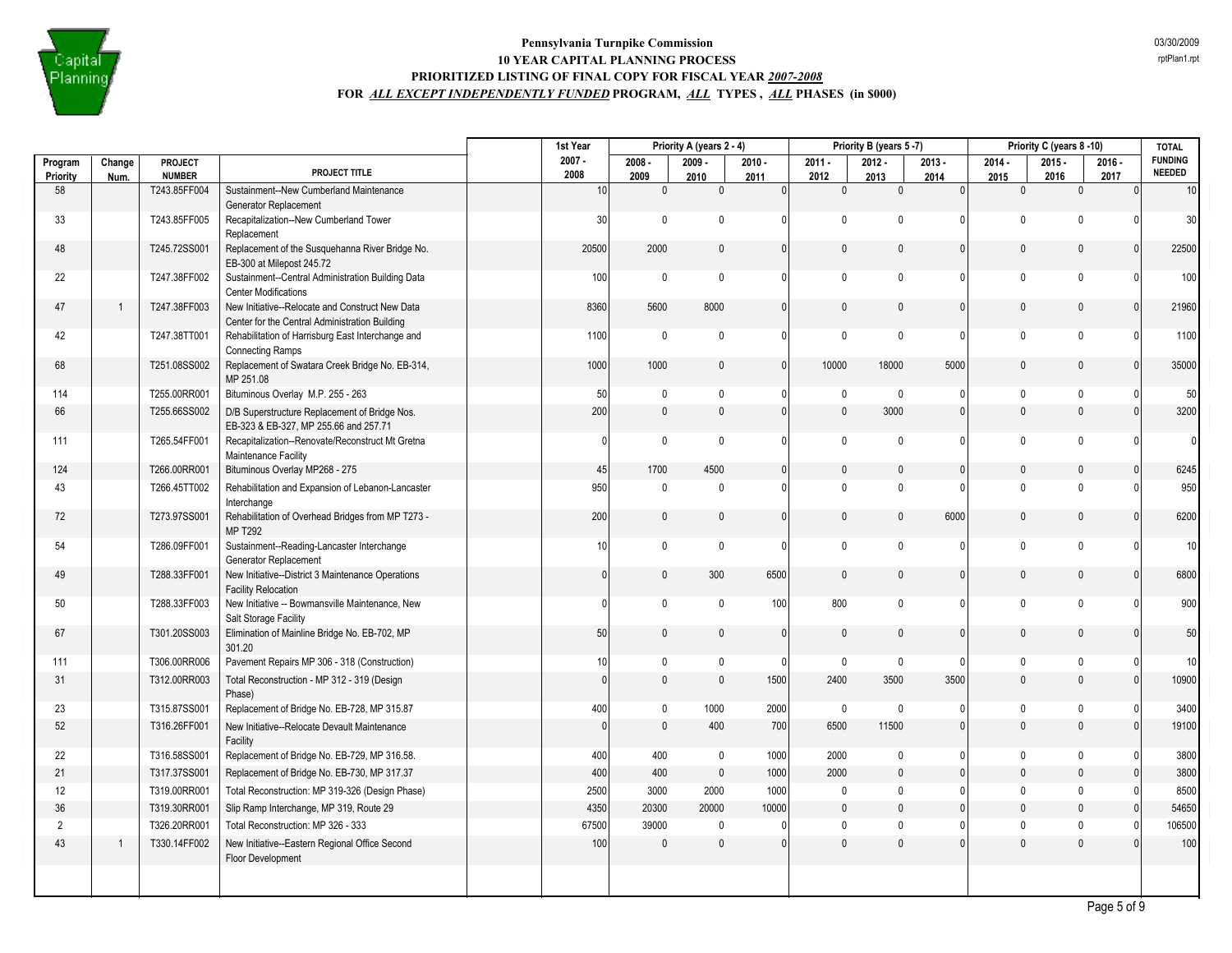

|                |                          |                                 |                                                                                                   | 1st Year         |                     | Priority A (years 2 - 4) |                  |                     | Priority B (years 5-7) |              |                     | Priority C (years 8 -10) |                  | <b>TOTAL</b>             |
|----------------|--------------------------|---------------------------------|---------------------------------------------------------------------------------------------------|------------------|---------------------|--------------------------|------------------|---------------------|------------------------|--------------|---------------------|--------------------------|------------------|--------------------------|
| Program        | Change                   | <b>PROJECT</b><br><b>NUMBER</b> | PROJECT TITLE                                                                                     | $2007 -$<br>2008 | $2008 -$            | $2009 -$                 | $2010 -$         | $2011 -$            | $2012 -$               | $2013 -$     | $2014 -$            | $2015 -$                 | $2016 -$         | <b>FUNDING</b><br>NEEDED |
| Priority<br>58 | Num.                     | T243.85FF004                    | Sustainment--New Cumberland Maintenance                                                           | 10               | 2009<br>$\mathbf 0$ | 2010<br>$\mathbf 0$      | 2011<br>$\Omega$ | 2012<br>$\mathbf 0$ | 2013<br>$\pmb{0}$      | 2014<br> 0   | 2015<br>$\mathbf 0$ | 2016<br>$\mathbf 0$      | 2017<br>$\Omega$ | 10                       |
|                |                          |                                 | Generator Replacement                                                                             |                  |                     |                          |                  |                     |                        |              |                     |                          |                  |                          |
| 33             |                          | T243.85FF005                    | Recapitalization--New Cumberland Tower<br>Replacement                                             | 30               | $\mathbf 0$         | $\mathbf{0}$             | $\Omega$         | $\mathsf{O}$        | $\Omega$               | $\Omega$     | $\mathbf 0$         | $\mathbf{0}$             | $\Omega$         | 30                       |
| 48             |                          | T245.72SS001                    | Replacement of the Susquehanna River Bridge No.<br>EB-300 at Milepost 245.72                      | 20500            | 2000                | $\pmb{0}$                | $\overline{0}$   | $\mathbf 0$         | $\mathbf{0}$           | $\mathbf{0}$ | $\mathbf 0$         | $\mathbf 0$              | $\Omega$         | 22500                    |
| 22             |                          | T247.38FF002                    | Sustainment--Central Administration Building Data<br><b>Center Modifications</b>                  | 100              | $\mathbf 0$         | $\pmb{0}$                | 0                | $\mathsf{O}$        | $\Omega$               | 0            | $\mathbf 0$         | $\mathbf 0$              | n                | 100                      |
| 47             | $\overline{\phantom{a}}$ | T247.38FF003                    | New Initiative--Relocate and Construct New Data<br>Center for the Central Administration Building | 8360             | 5600                | 8000                     | $\overline{0}$   | 0                   | $\Omega$               | $\mathbf{0}$ | $\mathbf{0}$        | $\mathbf 0$              |                  | 21960                    |
| 42             |                          | T247.38TT001                    | Rehabilitation of Harrisburg East Interchange and<br><b>Connecting Ramps</b>                      | 1100             | $\mathbf 0$         | $\pmb{0}$                | 0                | $\mathsf{O}$        | $\Omega$               | $\Omega$     | $\mathbf 0$         | $\mathbf 0$              |                  | 1100                     |
| 68             |                          | T251.08SS002                    | Replacement of Swatara Creek Bridge No. EB-314,<br>MP 251.08                                      | 1000             | 1000                | $\pmb{0}$                | 0                | 10000               | 18000                  | 5000         | $\mathbf 0$         | $\mathbf 0$              | $\Omega$         | 35000                    |
| 114            |                          | T255.00RR001                    | Bituminous Overlay M.P. 255 - 263                                                                 | 50               | $\mathbf 0$         | 0                        | 0                | 0                   | $\mathbf 0$            | 0            | $\mathbf 0$         | $\mathbf{0}$             |                  | 50                       |
| 66             |                          | T255.66SS002                    | D/B Superstructure Replacement of Bridge Nos.<br>EB-323 & EB-327, MP 255.66 and 257.71            | 200              | $\mathsf 0$         | $\mathbf{0}$             | $\overline{0}$   | $\mathbf{0}$        | 3000                   | $\Omega$     | $\mathsf{0}$        | $\mathbb O$              |                  | 3200                     |
| 111            |                          | T265.54FF001                    | Recapitalization--Renovate/Reconstruct Mt Gretna<br>Maintenance Facility                          | 0                | $\mathbf 0$         | $\pmb{0}$                | 0                | 0                   | $\mathbf 0$            | 0            | $\mathbf 0$         | $\mathbf 0$              |                  | $\overline{0}$           |
| 124            |                          | T266.00RR001                    | Bituminous Overlay MP268 - 275                                                                    | 45               | 1700                | 4500                     | $\overline{0}$   | $\mathbf 0$         | $\Omega$               | $\mathbf{0}$ | $\mathbf{0}$        | $\mathbf 0$              | $\Omega$         | 6245                     |
| 43             |                          | T266.45TT002                    | Rehabilitation and Expansion of Lebanon-Lancaster<br>Interchange                                  | 950              | $\mathbf 0$         | $\mathbf{0}$             | 0                | $\mathbf 0$         | $\Omega$               | 0            | $\mathbf 0$         | $\theta$                 | n                | 950                      |
| 72             |                          | T273.97SS001                    | Rehabilitation of Overhead Bridges from MP T273 -<br><b>MP T292</b>                               | 200              | $\mathsf 0$         | $\mathbf{0}$             | $\mathbf{0}$     | 0                   | $\mathbf{0}$           | 6000         | $\mathbf{0}$        | $\mathbf 0$              | $\Omega$         | 6200                     |
| 54             |                          | T286.09FF001                    | Sustainment--Reading-Lancaster Interchange<br>Generator Replacement                               | 10               | $\mathbf 0$         | $\pmb{0}$                | $\mathbf{0}$     | 0                   | $\mathbf 0$            | $\mathbf{0}$ | $\mathbf 0$         | $\mathbf 0$              |                  | 10                       |
| 49             |                          | T288.33FF001                    | New Initiative--District 3 Maintenance Operations<br><b>Facility Relocation</b>                   | $\mathbf{0}$     | $\mathbf 0$         | 300                      | 6500             | $\mathbf{0}$        | $\mathbf{0}$           | $\mathbf{0}$ | $\mathbf 0$         | $\mathbf 0$              | $\Omega$         | 6800                     |
| 50             |                          | T288.33FF003                    | New Initiative -- Bowmansville Maintenance, New<br>Salt Storage Facility                          | $\mathbf{0}$     | $\mathbf 0$         | $\pmb{0}$                | 100              | 800                 | $\mathbf 0$            | $\mathbf{0}$ | $\mathbf 0$         | $\mathbf 0$              |                  | 900                      |
| 67             |                          | T301.20SS003                    | Elimination of Mainline Bridge No. EB-702, MP<br>301.20                                           | 50               | $\mathbf 0$         | $\pmb{0}$                | $\overline{0}$   | $\mathbf{0}$        | $\mathbf{0}$           | $\mathbf{0}$ | $\mathbf 0$         | $\mathbf 0$              | $\mathbf{0}$     | 50                       |
| 111            |                          | T306.00RR006                    | Pavement Repairs MP 306 - 318 (Construction)                                                      | $10$             | $\mathbf 0$         | $\pmb{0}$                | $\Omega$         | 0                   | $\mathbf{0}$           | 0            | $\mathbf 0$         | $\mathbf 0$              | n                | 10                       |
| 31             |                          | T312.00RR003                    | Total Reconstruction - MP 312 - 319 (Design<br>Phase)                                             | $\mathbf{0}$     | $\mathsf 0$         | $\mathbf{0}$             | 1500             | 2400                | 3500                   | 3500         | $\mathbf{0}$        | $\mathbb O$              | $\Omega$         | 10900                    |
| 23             |                          | T315.87SS001                    | Replacement of Bridge No. EB-728, MP 315.87                                                       | 400              | $\mathbf 0$         | 1000                     | 2000             | $\mathbf 0$         | $\mathbf{0}$           | 0            | $\mathbf 0$         | $\mathbf 0$              | $\Omega$         | 3400                     |
| 52             |                          | T316.26FF001                    | New Initiative--Relocate Devault Maintenance<br>Facility                                          | $\mathbf{0}$     | $\mathsf 0$         | 400                      | 700              | 6500                | 11500                  | $\mathbf{0}$ | $\mathsf{0}$        | $\mathbb O$              | $\Omega$         | 19100                    |
| 22             |                          | T316.58SS001                    | Replacement of Bridge No. EB-729, MP 316.58.                                                      | 400              | 400                 | $\pmb{0}$                | 1000             | 2000                | $\mathbf{0}$           | $\mathbf{0}$ | $\mathbf 0$         | $\mathbf 0$              | n                | 3800                     |
| 21             |                          | T317.37SS001                    | Replacement of Bridge No. EB-730, MP 317.37                                                       | 400              | 400                 | $\mathbf{0}$             | 1000             | 2000                | $\mathbf{0}$           | $\mathbf{0}$ | $\mathbf{0}$        | $\mathbf{0}$             | $\Omega$         | 3800                     |
| 12             |                          | T319.00RR001                    | Total Reconstruction: MP 319-326 (Design Phase)                                                   | 2500             | 3000                | 2000                     | 1000             | 0                   | $\mathbf 0$            | $\mathbf{0}$ | $\mathbf 0$         | $\mathbf 0$              | O                | 8500                     |
| 36             |                          | T319.30RR001                    | Slip Ramp Interchange, MP 319, Route 29                                                           | 4350             | 20300               | 20000                    | 10000            | $\mathbf{0}$        | $\mathbf{0}$           | $\mathbf{0}$ | $\mathbf{0}$        | $\mathbf{0}$             |                  | 54650                    |
| $\overline{2}$ |                          | T326.20RR001                    | Total Reconstruction: MP 326 - 333                                                                | 67500            | 39000               | $\mathbf{0}$             |                  | 0                   | $\mathbf{0}$           | $\mathbf{0}$ | $\mathbf{0}$        | $\mathbf 0$              |                  | 106500                   |
| 43             | 1                        | T330.14FF002                    | New Initiative--Eastern Regional Office Second<br>Floor Development                               | 100              | $\mathbf{0}$        | $\mathbf{0}$             | $\mathbf{0}$     | $\mathbf{0}$        | $\mathbf{0}$           | $\mathbf{0}$ | $\mathsf{0}$        | $\mathbb O$              |                  | 100                      |
|                |                          |                                 |                                                                                                   |                  |                     |                          |                  |                     |                        |              |                     |                          | Page 5 of 9      |                          |

rptPlan1.rpt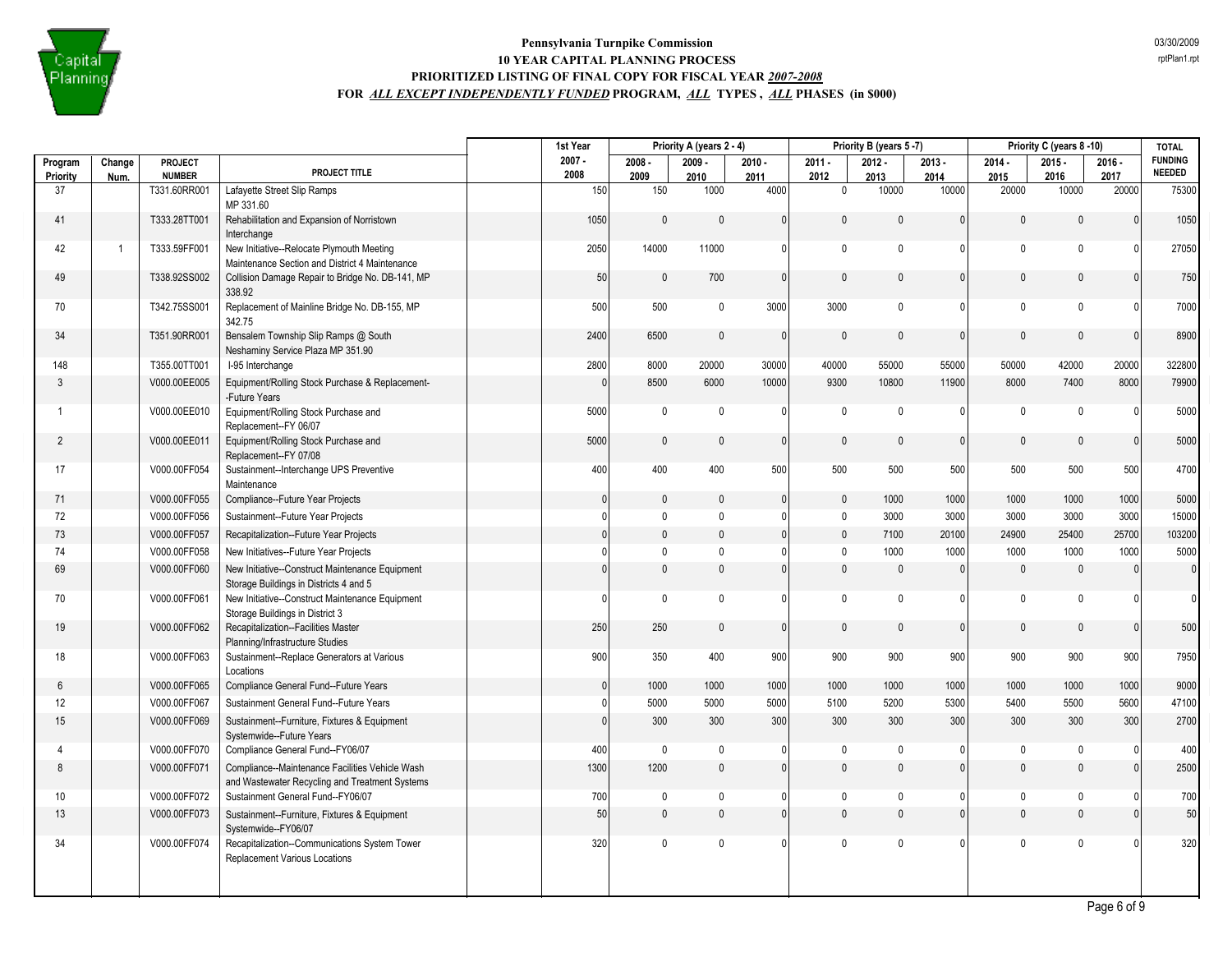

|                     |                |                                 |                                                                                                   | 1st Year         | Priority A (years 2 - 4) |                  | Priority B (years 5-7) |                  |                  | Priority C (years 8-10) |                  |                  | <b>TOTAL</b>     |                                 |
|---------------------|----------------|---------------------------------|---------------------------------------------------------------------------------------------------|------------------|--------------------------|------------------|------------------------|------------------|------------------|-------------------------|------------------|------------------|------------------|---------------------------------|
| Program<br>Priority | Change<br>Num. | <b>PROJECT</b><br><b>NUMBER</b> | PROJECT TITLE                                                                                     | $2007 -$<br>2008 | $2008 -$<br>2009         | $2009 -$<br>2010 | $2010 -$<br>2011       | $2011 -$<br>2012 | $2012 -$<br>2013 | $2013 -$<br>2014        | $2014 -$<br>2015 | $2015 -$<br>2016 | $2016 -$<br>2017 | <b>FUNDING</b><br><b>NEEDED</b> |
| 37                  |                | T331.60RR001                    | Lafayette Street Slip Ramps<br>MP 331.60                                                          | 150              | 150                      | 1000             | 4000                   | $\mathbf{0}$     | 10000            | 10000                   | 20000            | 10000            | 20000            | 75300                           |
| 41                  |                | T333.28TT001                    | Rehabilitation and Expansion of Norristown<br>Interchange                                         | 1050             | $\mathbf{0}$             | $\mathbf{0}$     | $\Omega$               | $\mathbf{0}$     | $\mathbf{0}$     | $\mathbf{0}$            | $\mathbf{0}$     | $\mathbf{0}$     | $\Omega$         | 1050                            |
| 42                  | -1             | T333.59FF001                    | New Initiative--Relocate Plymouth Meeting                                                         | 2050             | 14000                    | 11000            | 0                      | $\mathbf 0$      | $\mathbf{0}$     | $\Omega$                | $\mathbf 0$      | $\mathbf{0}$     | $\Omega$         | 27050                           |
|                     |                |                                 | Maintenance Section and District 4 Maintenance                                                    |                  |                          |                  |                        |                  |                  |                         |                  |                  |                  |                                 |
| 49                  |                | T338.92SS002                    | Collision Damage Repair to Bridge No. DB-141, MP<br>338.92                                        | 50               | $\mathbf{0}$             | 700              | 0                      | $\mathbf{0}$     | $\mathbf{0}$     | $\mathbf{0}$            | $\mathbf{0}$     | $\mathbf{0}$     | $\Omega$         | 750                             |
| 70                  |                | T342.75SS001                    | Replacement of Mainline Bridge No. DB-155, MP<br>342.75                                           | 500              | 500                      | $\mathbf 0$      | 3000                   | 3000             | $\mathbf{0}$     | $\Omega$                | $\mathbf{0}$     | $\mathbf{0}$     |                  | 7000                            |
| 34                  |                | T351.90RR001                    | Bensalem Township Slip Ramps @ South<br>Neshaminy Service Plaza MP 351.90                         | 2400             | 6500                     | $\mathbf{0}$     | $\Omega$               | $\Omega$         | $\mathbf{0}$     | $\Omega$                | $\Omega$         | $\mathbf{0}$     | $\Omega$         | 8900                            |
| 148                 |                | T355.00TT001                    | I-95 Interchange                                                                                  | 2800             | 8000                     | 20000            | 30000                  | 40000            | 55000            | 55000                   | 50000            | 42000            | 20000            | 322800                          |
| 3                   |                | V000.00EE005                    | Equipment/Rolling Stock Purchase & Replacement-<br>-Future Years                                  | $\Omega$         | 8500                     | 6000             | 10000                  | 9300             | 10800            | 11900                   | 8000             | 7400             | 8000             | 79900                           |
| 1                   |                | V000.00EE010                    | Equipment/Rolling Stock Purchase and<br>Replacement--FY 06/07                                     | 5000             | $\mathbf 0$              | $\mathbf{0}$     | $\Omega$               | $\mathbf{0}$     | $\mathbf 0$      | $\Omega$                | $\mathbf{0}$     | $\mathbf{0}$     |                  | 5000                            |
| $\overline{2}$      |                | V000.00EE011                    | Equipment/Rolling Stock Purchase and<br>Replacement--FY 07/08                                     | 5000             | $\mathbf 0$              | $\mathbf{0}$     | 0                      | $\Omega$         | $\mathbf{0}$     | $\mathbf{0}$            | $\mathbf{0}$     | $\mathbf{0}$     | $\Omega$         | 5000                            |
| 17                  |                | V000.00FF054                    | Sustainment--Interchange UPS Preventive<br>Maintenance                                            | 400              | 400                      | 400              | 500                    | 500              | 500              | 500                     | 500              | 500              | 500              | 4700                            |
| 71                  |                | V000.00FF055                    | Compliance--Future Year Projects                                                                  | $\mathbf{0}$     | $\pmb{0}$                | 0                | $\mathbf{0}$           | 0                | 1000             | 1000                    | 1000             | 1000             | 1000             | 5000                            |
| 72                  |                | V000.00FF056                    | Sustainment--Future Year Projects                                                                 | $\Omega$         | $\mathbf 0$              | $\mathbf{0}$     | 0                      | $\mathbf{0}$     | 3000             | 3000                    | 3000             | 3000             | 3000             | 15000                           |
| 73                  |                | V000.00FF057                    | Recapitalization--Future Year Projects                                                            | $\Omega$         | $\mathsf{0}$             | $\mathbf{0}$     | 0                      | $\mathbf{0}$     | 7100             | 20100                   | 24900            | 25400            | 25700            | 103200                          |
| 74                  |                | V000.00FF058                    | New Initiatives--Future Year Projects                                                             | $\Omega$         | $\mathbf 0$              | $\mathbf{0}$     | 0                      | $\mathbf{0}$     | 1000             | 1000                    | 1000             | 1000             | 1000             | 5000                            |
| 69                  |                | V000.00FF060                    | New Initiative--Construct Maintenance Equipment<br>Storage Buildings in Districts 4 and 5         | $\Omega$         | $\mathsf{0}$             | $\mathbf{0}$     | $\mathbf{0}$           | 0                | $\mathbf{0}$     | $\mathbf{0}$            | $\mathbf{0}$     | $\mathbf 0$      | $\Omega$         | $\overline{0}$                  |
| 70                  |                | V000.00FF061                    | New Initiative--Construct Maintenance Equipment<br>Storage Buildings in District 3                | $\Omega$         | $\mathbf 0$              | 0                | 0                      | 0                | $\mathbf{0}$     | $\mathbf{0}$            | $\mathbf{0}$     | $\mathbf 0$      |                  | $\overline{0}$                  |
| 19                  |                | V000.00FF062                    | Recapitalization--Facilities Master<br>Planning/Infrastructure Studies                            | 250              | 250                      | $\mathbf{0}$     | $\Omega$               | $\Omega$         | $\mathbf{0}$     | $\Omega$                | $\mathbf{0}$     | $\mathbf{0}$     | $\Omega$         | 500                             |
| 18                  |                | V000.00FF063                    | Sustainment--Replace Generators at Various<br>Locations                                           | 900              | 350                      | 400              | 900                    | 900              | 900              | 900                     | 900              | 900              | 900              | 7950                            |
| 6                   |                | V000.00FF065                    | Compliance General Fund--Future Years                                                             | $\mathbf{0}$     | 1000                     | 1000             | 1000                   | 1000             | 1000             | 1000                    | 1000             | 1000             | 1000             | 9000                            |
| 12                  |                | V000.00FF067                    | Sustainment General Fund--Future Years                                                            | $\Omega$         | 5000                     | 5000             | 5000                   | 5100             | 5200             | 5300                    | 5400             | 5500             | 5600             | 47100                           |
| 15                  |                | V000.00FF069                    | Sustainment--Furniture, Fixtures & Equipment<br>Systemwide--Future Years                          | $\Omega$         | 300                      | 300              | 300                    | 300              | 300              | 300                     | 300              | 300              | 300              | 2700                            |
| 4                   |                | V000.00FF070                    | Compliance General Fund--FY06/07                                                                  | 400              | $\pmb{0}$                | $\mathbf 0$      | 01                     | $\mathbf{0}$     | $\mathbf 0$      | $\mathbf{0}$            | $\mathbf 0$      | $\mathbf 0$      |                  | 400                             |
| 8                   |                | V000.00FF071                    | Compliance--Maintenance Facilities Vehicle Wash<br>and Wastewater Recycling and Treatment Systems | 1300             | 1200                     | $\mathbf{0}$     | 0                      | $\mathbf{0}$     | $\mathbf{0}$     | $\mathbf{0}$            | $\mathbf{0}$     | $\mathbf{0}$     | $\Omega$         | 2500                            |
| 10                  |                | V000.00FF072                    | Sustainment General Fund--FY06/07                                                                 | 700              | $\mathbf 0$              | 0                | 0                      | 0                | 0                | $\mathbf{0}$            | $\mathbf 0$      | $\mathbf{0}$     |                  | 700                             |
| 13                  |                | V000.00FF073                    | Sustainment--Furniture, Fixtures & Equipment<br>Systemwide--FY06/07                               | 50               | $\mathsf{0}$             | $\mathbf 0$      | 0                      | 0                | $\mathbf{0}$     | $\mathbf{0}$            | $\pmb{0}$        | $\mathbf{0}$     |                  | 50                              |
| 34                  |                | V000.00FF074                    | Recapitalization--Communications System Tower<br>Replacement Various Locations                    | 320              | $\mathbf 0$              | $\mathbf{0}$     | $\Omega$               | $\mathbf{0}$     | $\mathbf{0}$     | $\mathbf{0}$            | $\mathbf 0$      | $\mathbf{0}$     |                  | 320                             |
|                     |                |                                 |                                                                                                   |                  |                          |                  |                        |                  |                  |                         |                  |                  |                  |                                 |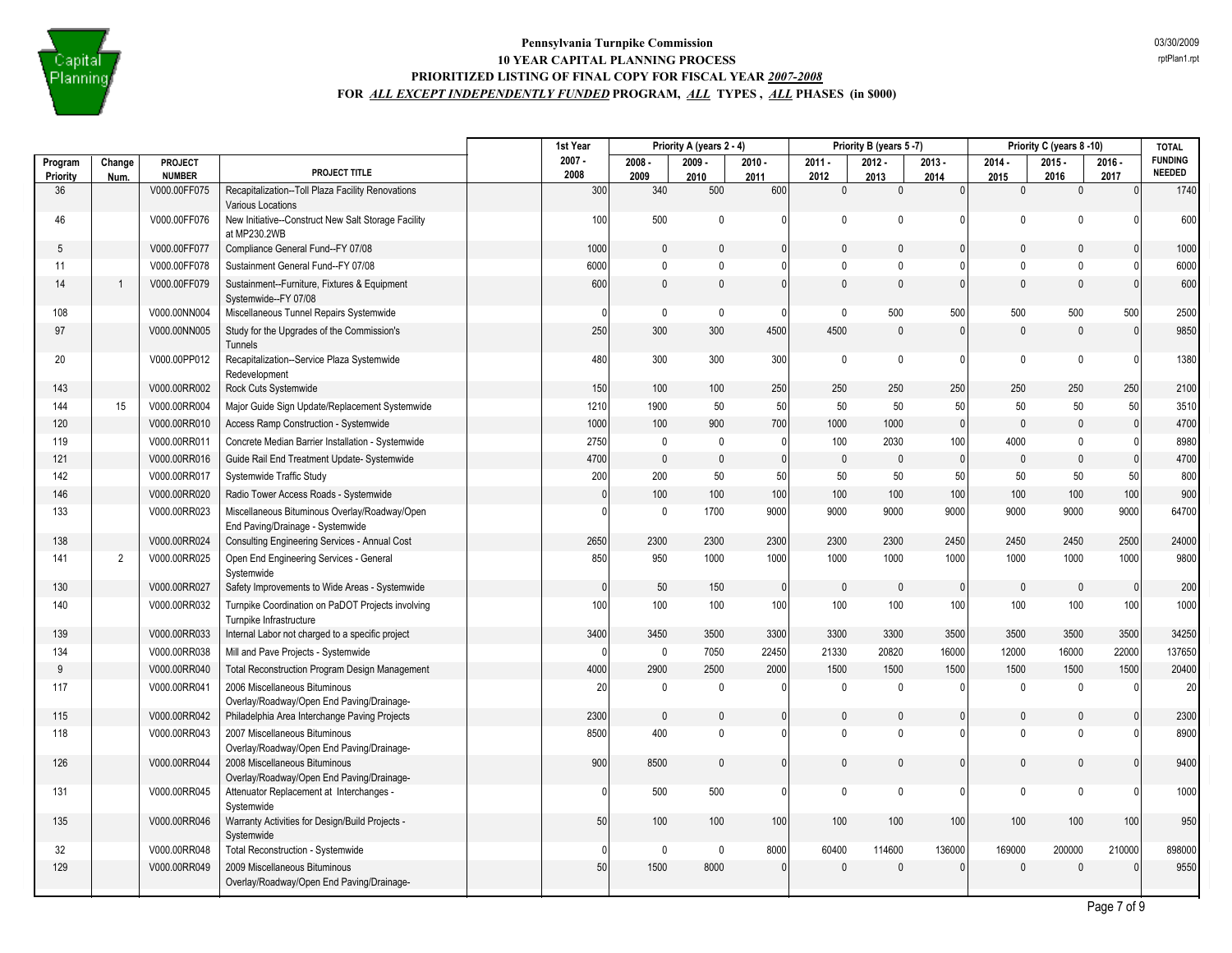

| $2008 -$<br>$2009 -$<br>$2015 -$<br>Program<br><b>PROJECT</b><br>$2010 -$<br>$2011 -$<br>$2012 -$<br>$2013 -$<br>$2014 -$<br>$2016 -$<br>Change<br>PROJECT TITLE<br><b>NEEDED</b><br>2008<br><b>NUMBER</b><br>Priority<br>2009<br>2012<br>2016<br>2017<br>Num.<br>2010<br>2011<br>2013<br>2014<br>2015<br>36<br>V000.00FF075<br>Recapitalization--Toll Plaza Facility Renovations<br>300<br>340<br>500<br>600<br>$\mathbf{0}$<br>$\mathbf{0}$<br>$\overline{0}$<br>$\mathbf{0}$<br>$\mathbf{0}$<br>$\mathbf{0}$<br>Various Locations<br>46<br>V000.00FF076<br>New Initiative--Construct New Salt Storage Facility<br>100<br>500<br>0<br>$\Omega$<br>$\mathbf 0$<br>$\mathbf 0$<br>$\Omega$<br>$\Omega$<br>$\Omega$<br>0<br>at MP230.2WB<br>V000.00FF077<br>1000<br>Compliance General Fund--FY 07/08<br>$\mathbf{0}$<br>$\mathbf{0}$<br>$\Omega$<br>$\mathbf{0}$<br>$\mathbf{0}$<br>$\mathbf{0}$<br>$\Omega$<br>$\Omega$<br>$\mathbf{0}$<br>5<br>11<br>V000.00FF078<br>Sustainment General Fund--FY 07/08<br>6000<br>$\mathbf 0$<br>$\Omega$<br>$\mathbf{0}$<br>$\mathbf{0}$<br>$\mathbf{0}$<br>$\Omega$<br>$\Omega$<br>$\Omega$<br>0<br>600<br>$\mathbf 0$<br>$\mathbf{0}$<br>$\mathbf{0}$<br>$\mathbf{0}$<br>14<br>V000.00FF079<br>Sustainment--Furniture, Fixtures & Equipment<br>$\mathbf{0}$<br>0<br>$\Omega$<br>$\Omega$<br>$\mathbf{0}$<br>Systemwide--FY 07/08<br>500<br>500<br>500<br>500<br>108<br>V000.00NN004<br>Miscellaneous Tunnel Repairs Systemwide<br>$\mathbf 0$<br>0<br>$\mathbf{0}$<br>500<br>$\mathbf{0}$<br><sup>0</sup><br>97<br>250<br>300<br>300<br>4500<br>4500<br>$\mathbf 0$<br>$\mathbf{0}$<br>$\mathbf{0}$<br>V000.00NN005<br>Study for the Upgrades of the Commission's<br>$\mathbf{0}$<br>$\mathbf{0}$<br>Tunnels<br>20<br>V000.00PP012<br>Recapitalization--Service Plaza Systemwide<br>480<br>300<br>300<br>300<br>0<br>$\mathbf 0$<br>$\mathbf 0$<br>$\mathbf{0}$<br>$\mathbf{0}$<br>0<br>Redevelopment<br>V000.00RR002<br>150<br>100<br>100<br>250<br>250<br>250<br>250<br>250<br>250<br>250<br>143<br>Rock Cuts Systemwide<br>50<br>15<br>V000.00RR004<br>Major Guide Sign Update/Replacement Systemwide<br>1210<br>1900<br>50<br>50<br>50<br>50<br>50<br>50<br>50<br>144<br>$\pmb{0}$<br>4700<br>120<br>1000<br>100<br>900<br>700<br>1000<br>1000<br>$\mathbf{0}$<br>$\mathbf{0}$<br>V000.00RR010<br>Access Ramp Construction - Systemwide<br>$\mathbf{0}$<br>119<br>V000.00RR011<br>Concrete Median Barrier Installation - Systemwide<br>2750<br>100<br>2030<br>4000<br>$\mathbf 0$<br>0<br>100<br>$\Omega$<br>$\Omega$<br>$\mathbf{0}$<br>4700<br>4700<br>$\mathbf 0$<br>$\pmb{0}$<br>$\mathbf{0}$<br>$\mathbf{0}$<br>121<br>V000.00RR016<br>Guide Rail End Treatment Update- Systemwide<br>$\mathbf{0}$<br>$\mathbf{0}$<br>$\mathbf{0}$<br>$\mathbf{0}$<br>$\mathbf{0}$<br>142<br>V000.00RR017<br>200<br>200<br>50<br>50<br>50<br>50<br>50<br>50<br>Systemwide Traffic Study<br>50<br>50<br>100<br>146<br>100<br>100<br>100<br>100<br>100<br>100<br>100<br>V000.00RR020<br>Radio Tower Access Roads - Systemwide<br>$\mathbf{0}$<br>100<br>9000<br>9000<br>133<br>V000.00RR023<br>Miscellaneous Bituminous Overlay/Roadway/Open<br>1700<br>9000<br>9000<br>9000<br>9000<br>$\mathbf 0$<br>9000<br>$\Omega$<br>End Paving/Drainage - Systemwide<br>2300<br>138<br>V000.00RR024<br>2650<br>2300<br>2300<br>2300<br>2300<br>2450<br>2450<br>2450<br>2500<br>Consulting Engineering Services - Annual Cost<br>$\overline{2}$<br>V000.00RR025<br>850<br>950<br>1000<br>1000<br>1000<br>1000<br>1000<br>1000<br>1000<br>1000<br>141<br>Open End Engineering Services - General<br>Systemwide<br>130<br>V000.00RR027<br>50<br>150<br>$\mathbf{0}$<br>Safety Improvements to Wide Areas - Systemwide<br>$\mathbf{0}$<br>$\Omega$<br>$\Omega$<br>$\Omega$<br>$\mathbf{0}$<br>$\mathbf{0}$<br>$\Omega$<br>140<br>V000.00RR032<br>100<br>100<br>100<br>100<br>100<br>100<br>Turnpike Coordination on PaDOT Projects involving<br>100<br>100<br>100<br>100<br>Turnpike Infrastructure<br>3400<br>3500<br>3300<br>3500<br>3500<br>3500<br>34250<br>139<br>V000.00RR033<br>3450<br>3300<br>3300<br>3500<br>Internal Labor not charged to a specific project<br>21330<br>22000<br>137650<br>134<br>V000.00RR038<br>$\mathbf 0$<br>7050<br>22450<br>20820<br>16000<br>12000<br>16000<br>Mill and Pave Projects - Systemwide<br>$\Omega$<br>2900<br>20400<br>V000.00RR040<br>4000<br>2500<br>2000<br>1500<br>1500<br>1500<br>1500<br>9<br><b>Total Reconstruction Program Design Management</b><br>1500<br>1500<br>V000.00RR041<br>2006 Miscellaneous Bituminous<br>20<br>$\mathbf 0$<br>$\mathbf 0$<br>$\Omega$<br>$\mathbf 0$<br>$\mathbf 0$<br>$\Omega$<br>117<br>$\Omega$<br>$\Omega$<br>$\Omega$<br>Overlay/Roadway/Open End Paving/Drainage-<br>V000.00RR042<br>2300<br>$\mathbf 0$<br>0<br>$\pmb{0}$<br>$\mathbf{0}$<br>115<br>Philadelphia Area Interchange Paving Projects<br>$\mathbf{0}$<br>0<br>0<br>$\mathbf{0}$<br>$\Omega$<br>2007 Miscellaneous Bituminous<br>8500<br>400<br>$\Omega$<br>$\mathbf{0}$<br>$\mathbf{0}$<br>118<br>V000.00RR043<br>$\Omega$<br>0<br>$\Omega$<br>U<br>$\Omega$<br>Overlay/Roadway/Open End Paving/Drainage-<br>126<br>V000.00RR044<br>2008 Miscellaneous Bituminous<br>900<br>8500<br>$\mathbf{0}$<br>$\mathbf{0}$<br>$\Omega$<br>0<br>$\Omega$<br>$\Omega$<br>$\Omega$<br>$\Omega$<br>Overlay/Roadway/Open End Paving/Drainage-<br>500<br>500<br>131<br>V000.00RR045<br>Attenuator Replacement at Interchanges -<br>$\mathbf{0}$<br>0<br>$\mathbf 0$<br>$\Omega$<br>$\Omega$<br>0<br>0<br>$\Omega$<br>Systemwide<br>135<br>V000.00RR046<br>Warranty Activities for Design/Build Projects -<br>50<br>100<br>100<br>100<br>100<br>100<br>100<br>100<br>100<br>100<br>Systemwide<br>32<br>Total Reconstruction - Systemwide<br>8000<br>60400<br>136000<br>210000<br>V000.00RR048<br>0<br>0<br>114600<br>169000<br>200000<br><sup>0</sup><br>129<br>V000.00RR049<br>50 <sub>1</sub><br>1500<br>8000<br>$\mathbf{0}$<br>$\mathbf{0}$<br>2009 Miscellaneous Bituminous<br>$\mathbf{0}$<br>$\Omega$<br>$\Omega$<br>$\mathbf{0}$<br>$\Omega$<br>Overlay/Roadway/Open End Paving/Drainage- |  |  | 1st Year | Priority A (years 2 - 4) |  | Priority B (years 5-7) |  | Priority C (years 8-10) | <b>TOTAL</b>   |
|---------------------------------------------------------------------------------------------------------------------------------------------------------------------------------------------------------------------------------------------------------------------------------------------------------------------------------------------------------------------------------------------------------------------------------------------------------------------------------------------------------------------------------------------------------------------------------------------------------------------------------------------------------------------------------------------------------------------------------------------------------------------------------------------------------------------------------------------------------------------------------------------------------------------------------------------------------------------------------------------------------------------------------------------------------------------------------------------------------------------------------------------------------------------------------------------------------------------------------------------------------------------------------------------------------------------------------------------------------------------------------------------------------------------------------------------------------------------------------------------------------------------------------------------------------------------------------------------------------------------------------------------------------------------------------------------------------------------------------------------------------------------------------------------------------------------------------------------------------------------------------------------------------------------------------------------------------------------------------------------------------------------------------------------------------------------------------------------------------------------------------------------------------------------------------------------------------------------------------------------------------------------------------------------------------------------------------------------------------------------------------------------------------------------------------------------------------------------------------------------------------------------------------------------------------------------------------------------------------------------------------------------------------------------------------------------------------------------------------------------------------------------------------------------------------------------------------------------------------------------------------------------------------------------------------------------------------------------------------------------------------------------------------------------------------------------------------------------------------------------------------------------------------------------------------------------------------------------------------------------------------------------------------------------------------------------------------------------------------------------------------------------------------------------------------------------------------------------------------------------------------------------------------------------------------------------------------------------------------------------------------------------------------------------------------------------------------------------------------------------------------------------------------------------------------------------------------------------------------------------------------------------------------------------------------------------------------------------------------------------------------------------------------------------------------------------------------------------------------------------------------------------------------------------------------------------------------------------------------------------------------------------------------------------------------------------------------------------------------------------------------------------------------------------------------------------------------------------------------------------------------------------------------------------------------------------------------------------------------------------------------------------------------------------------------------------------------------------------------------------------------------------------------------------------------------------------------------------------------------------------------------------------------------------------------------------------------------------------------------------------------------------------------------------------------------------------------------------------------------------------------------------------------------------------------------------------------------------------------------------------------------------------------------------------------------------------------------------------------------------------------------------------------------------------------------------------------------------------------------------------------------------------------------------------------------------------------------------------------------------------------------------------------------------------------------------------------------------------------------------------------------------------------------------------------------------------------------------------------------------------------------------------------------------------------------------------------------------------------------------------------------------------------------------------------------------------------------------------------------------------------------------------------|--|--|----------|--------------------------|--|------------------------|--|-------------------------|----------------|
|                                                                                                                                                                                                                                                                                                                                                                                                                                                                                                                                                                                                                                                                                                                                                                                                                                                                                                                                                                                                                                                                                                                                                                                                                                                                                                                                                                                                                                                                                                                                                                                                                                                                                                                                                                                                                                                                                                                                                                                                                                                                                                                                                                                                                                                                                                                                                                                                                                                                                                                                                                                                                                                                                                                                                                                                                                                                                                                                                                                                                                                                                                                                                                                                                                                                                                                                                                                                                                                                                                                                                                                                                                                                                                                                                                                                                                                                                                                                                                                                                                                                                                                                                                                                                                                                                                                                                                                                                                                                                                                                                                                                                                                                                                                                                                                                                                                                                                                                                                                                                                                                                                                                                                                                                                                                                                                                                                                                                                                                                                                                                                                                                                                                                                                                                                                                                                                                                                                                                                                                                                                                                                                                                         |  |  | $2007 -$ |                          |  |                        |  |                         | <b>FUNDING</b> |
|                                                                                                                                                                                                                                                                                                                                                                                                                                                                                                                                                                                                                                                                                                                                                                                                                                                                                                                                                                                                                                                                                                                                                                                                                                                                                                                                                                                                                                                                                                                                                                                                                                                                                                                                                                                                                                                                                                                                                                                                                                                                                                                                                                                                                                                                                                                                                                                                                                                                                                                                                                                                                                                                                                                                                                                                                                                                                                                                                                                                                                                                                                                                                                                                                                                                                                                                                                                                                                                                                                                                                                                                                                                                                                                                                                                                                                                                                                                                                                                                                                                                                                                                                                                                                                                                                                                                                                                                                                                                                                                                                                                                                                                                                                                                                                                                                                                                                                                                                                                                                                                                                                                                                                                                                                                                                                                                                                                                                                                                                                                                                                                                                                                                                                                                                                                                                                                                                                                                                                                                                                                                                                                                                         |  |  |          |                          |  |                        |  |                         | 1740           |
|                                                                                                                                                                                                                                                                                                                                                                                                                                                                                                                                                                                                                                                                                                                                                                                                                                                                                                                                                                                                                                                                                                                                                                                                                                                                                                                                                                                                                                                                                                                                                                                                                                                                                                                                                                                                                                                                                                                                                                                                                                                                                                                                                                                                                                                                                                                                                                                                                                                                                                                                                                                                                                                                                                                                                                                                                                                                                                                                                                                                                                                                                                                                                                                                                                                                                                                                                                                                                                                                                                                                                                                                                                                                                                                                                                                                                                                                                                                                                                                                                                                                                                                                                                                                                                                                                                                                                                                                                                                                                                                                                                                                                                                                                                                                                                                                                                                                                                                                                                                                                                                                                                                                                                                                                                                                                                                                                                                                                                                                                                                                                                                                                                                                                                                                                                                                                                                                                                                                                                                                                                                                                                                                                         |  |  |          |                          |  |                        |  |                         | 600            |
|                                                                                                                                                                                                                                                                                                                                                                                                                                                                                                                                                                                                                                                                                                                                                                                                                                                                                                                                                                                                                                                                                                                                                                                                                                                                                                                                                                                                                                                                                                                                                                                                                                                                                                                                                                                                                                                                                                                                                                                                                                                                                                                                                                                                                                                                                                                                                                                                                                                                                                                                                                                                                                                                                                                                                                                                                                                                                                                                                                                                                                                                                                                                                                                                                                                                                                                                                                                                                                                                                                                                                                                                                                                                                                                                                                                                                                                                                                                                                                                                                                                                                                                                                                                                                                                                                                                                                                                                                                                                                                                                                                                                                                                                                                                                                                                                                                                                                                                                                                                                                                                                                                                                                                                                                                                                                                                                                                                                                                                                                                                                                                                                                                                                                                                                                                                                                                                                                                                                                                                                                                                                                                                                                         |  |  |          |                          |  |                        |  |                         | 1000           |
|                                                                                                                                                                                                                                                                                                                                                                                                                                                                                                                                                                                                                                                                                                                                                                                                                                                                                                                                                                                                                                                                                                                                                                                                                                                                                                                                                                                                                                                                                                                                                                                                                                                                                                                                                                                                                                                                                                                                                                                                                                                                                                                                                                                                                                                                                                                                                                                                                                                                                                                                                                                                                                                                                                                                                                                                                                                                                                                                                                                                                                                                                                                                                                                                                                                                                                                                                                                                                                                                                                                                                                                                                                                                                                                                                                                                                                                                                                                                                                                                                                                                                                                                                                                                                                                                                                                                                                                                                                                                                                                                                                                                                                                                                                                                                                                                                                                                                                                                                                                                                                                                                                                                                                                                                                                                                                                                                                                                                                                                                                                                                                                                                                                                                                                                                                                                                                                                                                                                                                                                                                                                                                                                                         |  |  |          |                          |  |                        |  |                         | 6000           |
|                                                                                                                                                                                                                                                                                                                                                                                                                                                                                                                                                                                                                                                                                                                                                                                                                                                                                                                                                                                                                                                                                                                                                                                                                                                                                                                                                                                                                                                                                                                                                                                                                                                                                                                                                                                                                                                                                                                                                                                                                                                                                                                                                                                                                                                                                                                                                                                                                                                                                                                                                                                                                                                                                                                                                                                                                                                                                                                                                                                                                                                                                                                                                                                                                                                                                                                                                                                                                                                                                                                                                                                                                                                                                                                                                                                                                                                                                                                                                                                                                                                                                                                                                                                                                                                                                                                                                                                                                                                                                                                                                                                                                                                                                                                                                                                                                                                                                                                                                                                                                                                                                                                                                                                                                                                                                                                                                                                                                                                                                                                                                                                                                                                                                                                                                                                                                                                                                                                                                                                                                                                                                                                                                         |  |  |          |                          |  |                        |  |                         | 600            |
|                                                                                                                                                                                                                                                                                                                                                                                                                                                                                                                                                                                                                                                                                                                                                                                                                                                                                                                                                                                                                                                                                                                                                                                                                                                                                                                                                                                                                                                                                                                                                                                                                                                                                                                                                                                                                                                                                                                                                                                                                                                                                                                                                                                                                                                                                                                                                                                                                                                                                                                                                                                                                                                                                                                                                                                                                                                                                                                                                                                                                                                                                                                                                                                                                                                                                                                                                                                                                                                                                                                                                                                                                                                                                                                                                                                                                                                                                                                                                                                                                                                                                                                                                                                                                                                                                                                                                                                                                                                                                                                                                                                                                                                                                                                                                                                                                                                                                                                                                                                                                                                                                                                                                                                                                                                                                                                                                                                                                                                                                                                                                                                                                                                                                                                                                                                                                                                                                                                                                                                                                                                                                                                                                         |  |  |          |                          |  |                        |  |                         | 2500           |
|                                                                                                                                                                                                                                                                                                                                                                                                                                                                                                                                                                                                                                                                                                                                                                                                                                                                                                                                                                                                                                                                                                                                                                                                                                                                                                                                                                                                                                                                                                                                                                                                                                                                                                                                                                                                                                                                                                                                                                                                                                                                                                                                                                                                                                                                                                                                                                                                                                                                                                                                                                                                                                                                                                                                                                                                                                                                                                                                                                                                                                                                                                                                                                                                                                                                                                                                                                                                                                                                                                                                                                                                                                                                                                                                                                                                                                                                                                                                                                                                                                                                                                                                                                                                                                                                                                                                                                                                                                                                                                                                                                                                                                                                                                                                                                                                                                                                                                                                                                                                                                                                                                                                                                                                                                                                                                                                                                                                                                                                                                                                                                                                                                                                                                                                                                                                                                                                                                                                                                                                                                                                                                                                                         |  |  |          |                          |  |                        |  |                         | 9850           |
|                                                                                                                                                                                                                                                                                                                                                                                                                                                                                                                                                                                                                                                                                                                                                                                                                                                                                                                                                                                                                                                                                                                                                                                                                                                                                                                                                                                                                                                                                                                                                                                                                                                                                                                                                                                                                                                                                                                                                                                                                                                                                                                                                                                                                                                                                                                                                                                                                                                                                                                                                                                                                                                                                                                                                                                                                                                                                                                                                                                                                                                                                                                                                                                                                                                                                                                                                                                                                                                                                                                                                                                                                                                                                                                                                                                                                                                                                                                                                                                                                                                                                                                                                                                                                                                                                                                                                                                                                                                                                                                                                                                                                                                                                                                                                                                                                                                                                                                                                                                                                                                                                                                                                                                                                                                                                                                                                                                                                                                                                                                                                                                                                                                                                                                                                                                                                                                                                                                                                                                                                                                                                                                                                         |  |  |          |                          |  |                        |  |                         | 1380           |
|                                                                                                                                                                                                                                                                                                                                                                                                                                                                                                                                                                                                                                                                                                                                                                                                                                                                                                                                                                                                                                                                                                                                                                                                                                                                                                                                                                                                                                                                                                                                                                                                                                                                                                                                                                                                                                                                                                                                                                                                                                                                                                                                                                                                                                                                                                                                                                                                                                                                                                                                                                                                                                                                                                                                                                                                                                                                                                                                                                                                                                                                                                                                                                                                                                                                                                                                                                                                                                                                                                                                                                                                                                                                                                                                                                                                                                                                                                                                                                                                                                                                                                                                                                                                                                                                                                                                                                                                                                                                                                                                                                                                                                                                                                                                                                                                                                                                                                                                                                                                                                                                                                                                                                                                                                                                                                                                                                                                                                                                                                                                                                                                                                                                                                                                                                                                                                                                                                                                                                                                                                                                                                                                                         |  |  |          |                          |  |                        |  |                         | 2100           |
|                                                                                                                                                                                                                                                                                                                                                                                                                                                                                                                                                                                                                                                                                                                                                                                                                                                                                                                                                                                                                                                                                                                                                                                                                                                                                                                                                                                                                                                                                                                                                                                                                                                                                                                                                                                                                                                                                                                                                                                                                                                                                                                                                                                                                                                                                                                                                                                                                                                                                                                                                                                                                                                                                                                                                                                                                                                                                                                                                                                                                                                                                                                                                                                                                                                                                                                                                                                                                                                                                                                                                                                                                                                                                                                                                                                                                                                                                                                                                                                                                                                                                                                                                                                                                                                                                                                                                                                                                                                                                                                                                                                                                                                                                                                                                                                                                                                                                                                                                                                                                                                                                                                                                                                                                                                                                                                                                                                                                                                                                                                                                                                                                                                                                                                                                                                                                                                                                                                                                                                                                                                                                                                                                         |  |  |          |                          |  |                        |  |                         | 3510           |
|                                                                                                                                                                                                                                                                                                                                                                                                                                                                                                                                                                                                                                                                                                                                                                                                                                                                                                                                                                                                                                                                                                                                                                                                                                                                                                                                                                                                                                                                                                                                                                                                                                                                                                                                                                                                                                                                                                                                                                                                                                                                                                                                                                                                                                                                                                                                                                                                                                                                                                                                                                                                                                                                                                                                                                                                                                                                                                                                                                                                                                                                                                                                                                                                                                                                                                                                                                                                                                                                                                                                                                                                                                                                                                                                                                                                                                                                                                                                                                                                                                                                                                                                                                                                                                                                                                                                                                                                                                                                                                                                                                                                                                                                                                                                                                                                                                                                                                                                                                                                                                                                                                                                                                                                                                                                                                                                                                                                                                                                                                                                                                                                                                                                                                                                                                                                                                                                                                                                                                                                                                                                                                                                                         |  |  |          |                          |  |                        |  |                         |                |
|                                                                                                                                                                                                                                                                                                                                                                                                                                                                                                                                                                                                                                                                                                                                                                                                                                                                                                                                                                                                                                                                                                                                                                                                                                                                                                                                                                                                                                                                                                                                                                                                                                                                                                                                                                                                                                                                                                                                                                                                                                                                                                                                                                                                                                                                                                                                                                                                                                                                                                                                                                                                                                                                                                                                                                                                                                                                                                                                                                                                                                                                                                                                                                                                                                                                                                                                                                                                                                                                                                                                                                                                                                                                                                                                                                                                                                                                                                                                                                                                                                                                                                                                                                                                                                                                                                                                                                                                                                                                                                                                                                                                                                                                                                                                                                                                                                                                                                                                                                                                                                                                                                                                                                                                                                                                                                                                                                                                                                                                                                                                                                                                                                                                                                                                                                                                                                                                                                                                                                                                                                                                                                                                                         |  |  |          |                          |  |                        |  |                         | 8980           |
|                                                                                                                                                                                                                                                                                                                                                                                                                                                                                                                                                                                                                                                                                                                                                                                                                                                                                                                                                                                                                                                                                                                                                                                                                                                                                                                                                                                                                                                                                                                                                                                                                                                                                                                                                                                                                                                                                                                                                                                                                                                                                                                                                                                                                                                                                                                                                                                                                                                                                                                                                                                                                                                                                                                                                                                                                                                                                                                                                                                                                                                                                                                                                                                                                                                                                                                                                                                                                                                                                                                                                                                                                                                                                                                                                                                                                                                                                                                                                                                                                                                                                                                                                                                                                                                                                                                                                                                                                                                                                                                                                                                                                                                                                                                                                                                                                                                                                                                                                                                                                                                                                                                                                                                                                                                                                                                                                                                                                                                                                                                                                                                                                                                                                                                                                                                                                                                                                                                                                                                                                                                                                                                                                         |  |  |          |                          |  |                        |  |                         |                |
|                                                                                                                                                                                                                                                                                                                                                                                                                                                                                                                                                                                                                                                                                                                                                                                                                                                                                                                                                                                                                                                                                                                                                                                                                                                                                                                                                                                                                                                                                                                                                                                                                                                                                                                                                                                                                                                                                                                                                                                                                                                                                                                                                                                                                                                                                                                                                                                                                                                                                                                                                                                                                                                                                                                                                                                                                                                                                                                                                                                                                                                                                                                                                                                                                                                                                                                                                                                                                                                                                                                                                                                                                                                                                                                                                                                                                                                                                                                                                                                                                                                                                                                                                                                                                                                                                                                                                                                                                                                                                                                                                                                                                                                                                                                                                                                                                                                                                                                                                                                                                                                                                                                                                                                                                                                                                                                                                                                                                                                                                                                                                                                                                                                                                                                                                                                                                                                                                                                                                                                                                                                                                                                                                         |  |  |          |                          |  |                        |  |                         | 800            |
|                                                                                                                                                                                                                                                                                                                                                                                                                                                                                                                                                                                                                                                                                                                                                                                                                                                                                                                                                                                                                                                                                                                                                                                                                                                                                                                                                                                                                                                                                                                                                                                                                                                                                                                                                                                                                                                                                                                                                                                                                                                                                                                                                                                                                                                                                                                                                                                                                                                                                                                                                                                                                                                                                                                                                                                                                                                                                                                                                                                                                                                                                                                                                                                                                                                                                                                                                                                                                                                                                                                                                                                                                                                                                                                                                                                                                                                                                                                                                                                                                                                                                                                                                                                                                                                                                                                                                                                                                                                                                                                                                                                                                                                                                                                                                                                                                                                                                                                                                                                                                                                                                                                                                                                                                                                                                                                                                                                                                                                                                                                                                                                                                                                                                                                                                                                                                                                                                                                                                                                                                                                                                                                                                         |  |  |          |                          |  |                        |  |                         | 900            |
|                                                                                                                                                                                                                                                                                                                                                                                                                                                                                                                                                                                                                                                                                                                                                                                                                                                                                                                                                                                                                                                                                                                                                                                                                                                                                                                                                                                                                                                                                                                                                                                                                                                                                                                                                                                                                                                                                                                                                                                                                                                                                                                                                                                                                                                                                                                                                                                                                                                                                                                                                                                                                                                                                                                                                                                                                                                                                                                                                                                                                                                                                                                                                                                                                                                                                                                                                                                                                                                                                                                                                                                                                                                                                                                                                                                                                                                                                                                                                                                                                                                                                                                                                                                                                                                                                                                                                                                                                                                                                                                                                                                                                                                                                                                                                                                                                                                                                                                                                                                                                                                                                                                                                                                                                                                                                                                                                                                                                                                                                                                                                                                                                                                                                                                                                                                                                                                                                                                                                                                                                                                                                                                                                         |  |  |          |                          |  |                        |  |                         | 64700          |
|                                                                                                                                                                                                                                                                                                                                                                                                                                                                                                                                                                                                                                                                                                                                                                                                                                                                                                                                                                                                                                                                                                                                                                                                                                                                                                                                                                                                                                                                                                                                                                                                                                                                                                                                                                                                                                                                                                                                                                                                                                                                                                                                                                                                                                                                                                                                                                                                                                                                                                                                                                                                                                                                                                                                                                                                                                                                                                                                                                                                                                                                                                                                                                                                                                                                                                                                                                                                                                                                                                                                                                                                                                                                                                                                                                                                                                                                                                                                                                                                                                                                                                                                                                                                                                                                                                                                                                                                                                                                                                                                                                                                                                                                                                                                                                                                                                                                                                                                                                                                                                                                                                                                                                                                                                                                                                                                                                                                                                                                                                                                                                                                                                                                                                                                                                                                                                                                                                                                                                                                                                                                                                                                                         |  |  |          |                          |  |                        |  |                         | 24000          |
|                                                                                                                                                                                                                                                                                                                                                                                                                                                                                                                                                                                                                                                                                                                                                                                                                                                                                                                                                                                                                                                                                                                                                                                                                                                                                                                                                                                                                                                                                                                                                                                                                                                                                                                                                                                                                                                                                                                                                                                                                                                                                                                                                                                                                                                                                                                                                                                                                                                                                                                                                                                                                                                                                                                                                                                                                                                                                                                                                                                                                                                                                                                                                                                                                                                                                                                                                                                                                                                                                                                                                                                                                                                                                                                                                                                                                                                                                                                                                                                                                                                                                                                                                                                                                                                                                                                                                                                                                                                                                                                                                                                                                                                                                                                                                                                                                                                                                                                                                                                                                                                                                                                                                                                                                                                                                                                                                                                                                                                                                                                                                                                                                                                                                                                                                                                                                                                                                                                                                                                                                                                                                                                                                         |  |  |          |                          |  |                        |  |                         | 9800           |
|                                                                                                                                                                                                                                                                                                                                                                                                                                                                                                                                                                                                                                                                                                                                                                                                                                                                                                                                                                                                                                                                                                                                                                                                                                                                                                                                                                                                                                                                                                                                                                                                                                                                                                                                                                                                                                                                                                                                                                                                                                                                                                                                                                                                                                                                                                                                                                                                                                                                                                                                                                                                                                                                                                                                                                                                                                                                                                                                                                                                                                                                                                                                                                                                                                                                                                                                                                                                                                                                                                                                                                                                                                                                                                                                                                                                                                                                                                                                                                                                                                                                                                                                                                                                                                                                                                                                                                                                                                                                                                                                                                                                                                                                                                                                                                                                                                                                                                                                                                                                                                                                                                                                                                                                                                                                                                                                                                                                                                                                                                                                                                                                                                                                                                                                                                                                                                                                                                                                                                                                                                                                                                                                                         |  |  |          |                          |  |                        |  |                         | 200            |
|                                                                                                                                                                                                                                                                                                                                                                                                                                                                                                                                                                                                                                                                                                                                                                                                                                                                                                                                                                                                                                                                                                                                                                                                                                                                                                                                                                                                                                                                                                                                                                                                                                                                                                                                                                                                                                                                                                                                                                                                                                                                                                                                                                                                                                                                                                                                                                                                                                                                                                                                                                                                                                                                                                                                                                                                                                                                                                                                                                                                                                                                                                                                                                                                                                                                                                                                                                                                                                                                                                                                                                                                                                                                                                                                                                                                                                                                                                                                                                                                                                                                                                                                                                                                                                                                                                                                                                                                                                                                                                                                                                                                                                                                                                                                                                                                                                                                                                                                                                                                                                                                                                                                                                                                                                                                                                                                                                                                                                                                                                                                                                                                                                                                                                                                                                                                                                                                                                                                                                                                                                                                                                                                                         |  |  |          |                          |  |                        |  |                         | 1000           |
|                                                                                                                                                                                                                                                                                                                                                                                                                                                                                                                                                                                                                                                                                                                                                                                                                                                                                                                                                                                                                                                                                                                                                                                                                                                                                                                                                                                                                                                                                                                                                                                                                                                                                                                                                                                                                                                                                                                                                                                                                                                                                                                                                                                                                                                                                                                                                                                                                                                                                                                                                                                                                                                                                                                                                                                                                                                                                                                                                                                                                                                                                                                                                                                                                                                                                                                                                                                                                                                                                                                                                                                                                                                                                                                                                                                                                                                                                                                                                                                                                                                                                                                                                                                                                                                                                                                                                                                                                                                                                                                                                                                                                                                                                                                                                                                                                                                                                                                                                                                                                                                                                                                                                                                                                                                                                                                                                                                                                                                                                                                                                                                                                                                                                                                                                                                                                                                                                                                                                                                                                                                                                                                                                         |  |  |          |                          |  |                        |  |                         |                |
|                                                                                                                                                                                                                                                                                                                                                                                                                                                                                                                                                                                                                                                                                                                                                                                                                                                                                                                                                                                                                                                                                                                                                                                                                                                                                                                                                                                                                                                                                                                                                                                                                                                                                                                                                                                                                                                                                                                                                                                                                                                                                                                                                                                                                                                                                                                                                                                                                                                                                                                                                                                                                                                                                                                                                                                                                                                                                                                                                                                                                                                                                                                                                                                                                                                                                                                                                                                                                                                                                                                                                                                                                                                                                                                                                                                                                                                                                                                                                                                                                                                                                                                                                                                                                                                                                                                                                                                                                                                                                                                                                                                                                                                                                                                                                                                                                                                                                                                                                                                                                                                                                                                                                                                                                                                                                                                                                                                                                                                                                                                                                                                                                                                                                                                                                                                                                                                                                                                                                                                                                                                                                                                                                         |  |  |          |                          |  |                        |  |                         |                |
|                                                                                                                                                                                                                                                                                                                                                                                                                                                                                                                                                                                                                                                                                                                                                                                                                                                                                                                                                                                                                                                                                                                                                                                                                                                                                                                                                                                                                                                                                                                                                                                                                                                                                                                                                                                                                                                                                                                                                                                                                                                                                                                                                                                                                                                                                                                                                                                                                                                                                                                                                                                                                                                                                                                                                                                                                                                                                                                                                                                                                                                                                                                                                                                                                                                                                                                                                                                                                                                                                                                                                                                                                                                                                                                                                                                                                                                                                                                                                                                                                                                                                                                                                                                                                                                                                                                                                                                                                                                                                                                                                                                                                                                                                                                                                                                                                                                                                                                                                                                                                                                                                                                                                                                                                                                                                                                                                                                                                                                                                                                                                                                                                                                                                                                                                                                                                                                                                                                                                                                                                                                                                                                                                         |  |  |          |                          |  |                        |  |                         |                |
|                                                                                                                                                                                                                                                                                                                                                                                                                                                                                                                                                                                                                                                                                                                                                                                                                                                                                                                                                                                                                                                                                                                                                                                                                                                                                                                                                                                                                                                                                                                                                                                                                                                                                                                                                                                                                                                                                                                                                                                                                                                                                                                                                                                                                                                                                                                                                                                                                                                                                                                                                                                                                                                                                                                                                                                                                                                                                                                                                                                                                                                                                                                                                                                                                                                                                                                                                                                                                                                                                                                                                                                                                                                                                                                                                                                                                                                                                                                                                                                                                                                                                                                                                                                                                                                                                                                                                                                                                                                                                                                                                                                                                                                                                                                                                                                                                                                                                                                                                                                                                                                                                                                                                                                                                                                                                                                                                                                                                                                                                                                                                                                                                                                                                                                                                                                                                                                                                                                                                                                                                                                                                                                                                         |  |  |          |                          |  |                        |  |                         | 20             |
|                                                                                                                                                                                                                                                                                                                                                                                                                                                                                                                                                                                                                                                                                                                                                                                                                                                                                                                                                                                                                                                                                                                                                                                                                                                                                                                                                                                                                                                                                                                                                                                                                                                                                                                                                                                                                                                                                                                                                                                                                                                                                                                                                                                                                                                                                                                                                                                                                                                                                                                                                                                                                                                                                                                                                                                                                                                                                                                                                                                                                                                                                                                                                                                                                                                                                                                                                                                                                                                                                                                                                                                                                                                                                                                                                                                                                                                                                                                                                                                                                                                                                                                                                                                                                                                                                                                                                                                                                                                                                                                                                                                                                                                                                                                                                                                                                                                                                                                                                                                                                                                                                                                                                                                                                                                                                                                                                                                                                                                                                                                                                                                                                                                                                                                                                                                                                                                                                                                                                                                                                                                                                                                                                         |  |  |          |                          |  |                        |  |                         | 2300           |
|                                                                                                                                                                                                                                                                                                                                                                                                                                                                                                                                                                                                                                                                                                                                                                                                                                                                                                                                                                                                                                                                                                                                                                                                                                                                                                                                                                                                                                                                                                                                                                                                                                                                                                                                                                                                                                                                                                                                                                                                                                                                                                                                                                                                                                                                                                                                                                                                                                                                                                                                                                                                                                                                                                                                                                                                                                                                                                                                                                                                                                                                                                                                                                                                                                                                                                                                                                                                                                                                                                                                                                                                                                                                                                                                                                                                                                                                                                                                                                                                                                                                                                                                                                                                                                                                                                                                                                                                                                                                                                                                                                                                                                                                                                                                                                                                                                                                                                                                                                                                                                                                                                                                                                                                                                                                                                                                                                                                                                                                                                                                                                                                                                                                                                                                                                                                                                                                                                                                                                                                                                                                                                                                                         |  |  |          |                          |  |                        |  |                         | 8900           |
|                                                                                                                                                                                                                                                                                                                                                                                                                                                                                                                                                                                                                                                                                                                                                                                                                                                                                                                                                                                                                                                                                                                                                                                                                                                                                                                                                                                                                                                                                                                                                                                                                                                                                                                                                                                                                                                                                                                                                                                                                                                                                                                                                                                                                                                                                                                                                                                                                                                                                                                                                                                                                                                                                                                                                                                                                                                                                                                                                                                                                                                                                                                                                                                                                                                                                                                                                                                                                                                                                                                                                                                                                                                                                                                                                                                                                                                                                                                                                                                                                                                                                                                                                                                                                                                                                                                                                                                                                                                                                                                                                                                                                                                                                                                                                                                                                                                                                                                                                                                                                                                                                                                                                                                                                                                                                                                                                                                                                                                                                                                                                                                                                                                                                                                                                                                                                                                                                                                                                                                                                                                                                                                                                         |  |  |          |                          |  |                        |  |                         | 9400           |
|                                                                                                                                                                                                                                                                                                                                                                                                                                                                                                                                                                                                                                                                                                                                                                                                                                                                                                                                                                                                                                                                                                                                                                                                                                                                                                                                                                                                                                                                                                                                                                                                                                                                                                                                                                                                                                                                                                                                                                                                                                                                                                                                                                                                                                                                                                                                                                                                                                                                                                                                                                                                                                                                                                                                                                                                                                                                                                                                                                                                                                                                                                                                                                                                                                                                                                                                                                                                                                                                                                                                                                                                                                                                                                                                                                                                                                                                                                                                                                                                                                                                                                                                                                                                                                                                                                                                                                                                                                                                                                                                                                                                                                                                                                                                                                                                                                                                                                                                                                                                                                                                                                                                                                                                                                                                                                                                                                                                                                                                                                                                                                                                                                                                                                                                                                                                                                                                                                                                                                                                                                                                                                                                                         |  |  |          |                          |  |                        |  |                         | 1000           |
|                                                                                                                                                                                                                                                                                                                                                                                                                                                                                                                                                                                                                                                                                                                                                                                                                                                                                                                                                                                                                                                                                                                                                                                                                                                                                                                                                                                                                                                                                                                                                                                                                                                                                                                                                                                                                                                                                                                                                                                                                                                                                                                                                                                                                                                                                                                                                                                                                                                                                                                                                                                                                                                                                                                                                                                                                                                                                                                                                                                                                                                                                                                                                                                                                                                                                                                                                                                                                                                                                                                                                                                                                                                                                                                                                                                                                                                                                                                                                                                                                                                                                                                                                                                                                                                                                                                                                                                                                                                                                                                                                                                                                                                                                                                                                                                                                                                                                                                                                                                                                                                                                                                                                                                                                                                                                                                                                                                                                                                                                                                                                                                                                                                                                                                                                                                                                                                                                                                                                                                                                                                                                                                                                         |  |  |          |                          |  |                        |  |                         | 950            |
|                                                                                                                                                                                                                                                                                                                                                                                                                                                                                                                                                                                                                                                                                                                                                                                                                                                                                                                                                                                                                                                                                                                                                                                                                                                                                                                                                                                                                                                                                                                                                                                                                                                                                                                                                                                                                                                                                                                                                                                                                                                                                                                                                                                                                                                                                                                                                                                                                                                                                                                                                                                                                                                                                                                                                                                                                                                                                                                                                                                                                                                                                                                                                                                                                                                                                                                                                                                                                                                                                                                                                                                                                                                                                                                                                                                                                                                                                                                                                                                                                                                                                                                                                                                                                                                                                                                                                                                                                                                                                                                                                                                                                                                                                                                                                                                                                                                                                                                                                                                                                                                                                                                                                                                                                                                                                                                                                                                                                                                                                                                                                                                                                                                                                                                                                                                                                                                                                                                                                                                                                                                                                                                                                         |  |  |          |                          |  |                        |  |                         | 898000         |
|                                                                                                                                                                                                                                                                                                                                                                                                                                                                                                                                                                                                                                                                                                                                                                                                                                                                                                                                                                                                                                                                                                                                                                                                                                                                                                                                                                                                                                                                                                                                                                                                                                                                                                                                                                                                                                                                                                                                                                                                                                                                                                                                                                                                                                                                                                                                                                                                                                                                                                                                                                                                                                                                                                                                                                                                                                                                                                                                                                                                                                                                                                                                                                                                                                                                                                                                                                                                                                                                                                                                                                                                                                                                                                                                                                                                                                                                                                                                                                                                                                                                                                                                                                                                                                                                                                                                                                                                                                                                                                                                                                                                                                                                                                                                                                                                                                                                                                                                                                                                                                                                                                                                                                                                                                                                                                                                                                                                                                                                                                                                                                                                                                                                                                                                                                                                                                                                                                                                                                                                                                                                                                                                                         |  |  |          |                          |  |                        |  |                         | 9550           |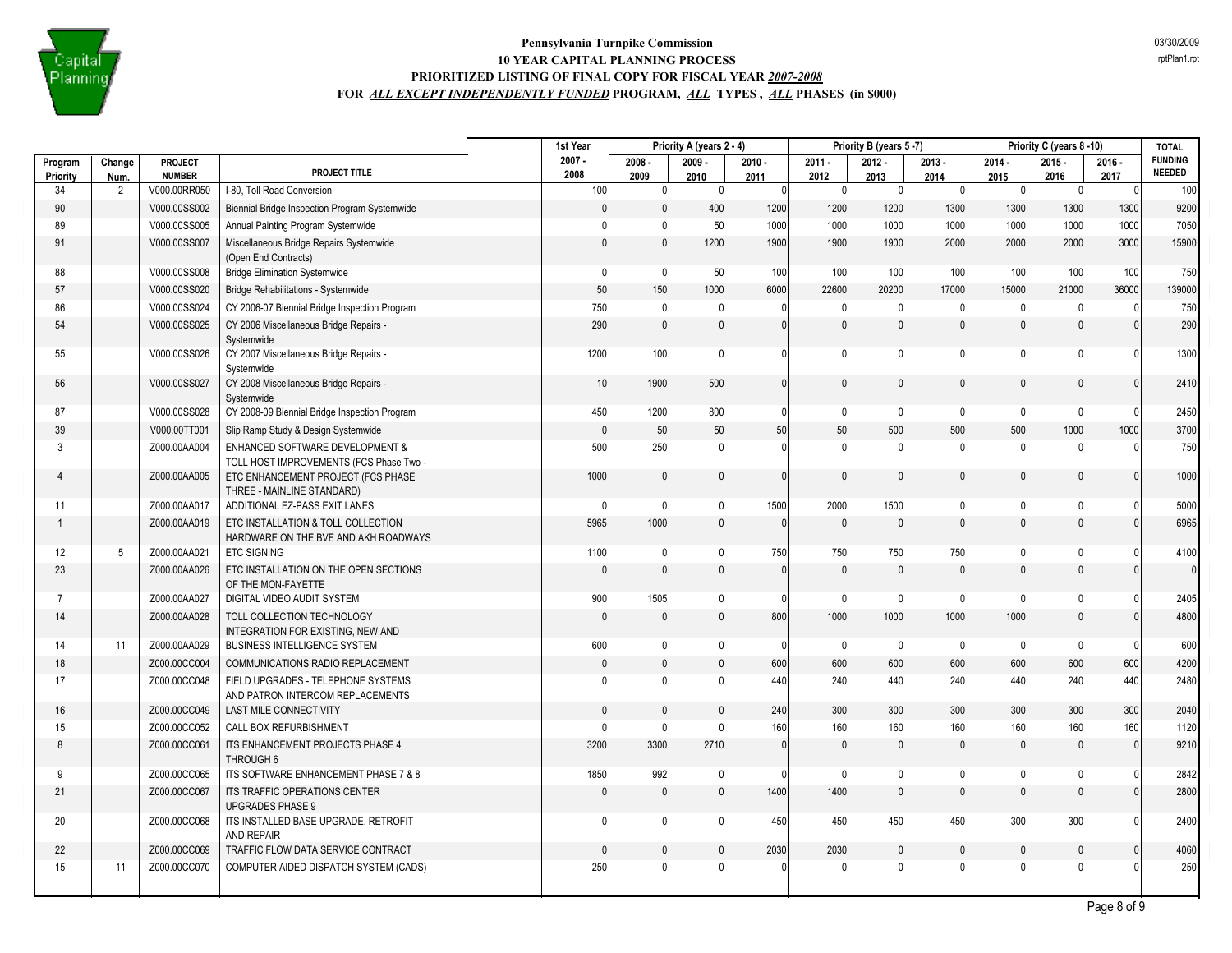

|                     |                 |                          |                                                                                       | 1st Year         |                              | Priority A (years 2 - 4) |                  |                  | Priority B (years 5-7) |                  |                  | Priority C (years 8-10) |                  | <b>TOTAL</b>                    |
|---------------------|-----------------|--------------------------|---------------------------------------------------------------------------------------|------------------|------------------------------|--------------------------|------------------|------------------|------------------------|------------------|------------------|-------------------------|------------------|---------------------------------|
| Program<br>Priority | Change<br>Num.  | PROJECT<br><b>NUMBER</b> | PROJECT TITLE                                                                         | $2007 -$<br>2008 | $2008 -$<br>2009             | $2009 -$<br>2010         | $2010 -$<br>2011 | $2011 -$<br>2012 | $2012 -$<br>2013       | $2013 -$<br>2014 | $2014 -$<br>2015 | $2015 -$<br>2016        | $2016 -$<br>2017 | <b>FUNDING</b><br><b>NEEDED</b> |
| 34                  | 2               | V000.00RR050             | I-80, Toll Road Conversion                                                            |                  | 100<br>$\mathbf 0$           | $\pmb{0}$                | $\Omega$         | $\mathbf 0$      | $\pmb{0}$              | $\overline{0}$   | $\mathbf 0$      | $\mathbf 0$             | 0                | 100                             |
| 90                  |                 | V000.00SS002             | Biennial Bridge Inspection Program Systemwide                                         |                  | $\mathbf{0}$<br>$\mathbf{0}$ | 400                      | 1200             | 1200             | 1200                   | 1300             | 1300             | 1300                    | 1300             | 9200                            |
| 89                  |                 | V000.00SS005             | Annual Painting Program Systemwide                                                    |                  | $\mathbf{0}$<br>$\Omega$     | 50                       | 1000             | 1000             | 1000                   | 1000             | 1000             | 1000                    | 1000             | 7050                            |
| 91                  |                 | V000.00SS007             | Miscellaneous Bridge Repairs Systemwide<br>(Open End Contracts)                       |                  | $\mathbf{0}$<br>$\mathbf{0}$ | 1200                     | 1900             | 1900             | 1900                   | 2000             | 2000             | 2000                    | 3000             | 15900                           |
| 88                  |                 | V000.00SS008             | <b>Bridge Elimination Systemwide</b>                                                  |                  | $\mathbf{0}$<br>0            | 50                       | 100              | 100              | 100                    | 100              | 100              | 100                     | 100              | 750                             |
| 57                  |                 | V000.00SS020             | Bridge Rehabilitations - Systemwide                                                   |                  | 150<br>50                    | 1000                     | 6000             | 22600            | 20200                  | 17000            | 15000            | 21000                   | 36000            | 139000                          |
| 86                  |                 | V000.00SS024             | CY 2006-07 Biennial Bridge Inspection Program                                         |                  | 750<br>$\mathbf 0$           | $\mathbf 0$              | $\Omega$         | $\mathbf{0}$     | $\mathbf 0$            | 0                | $\mathbf 0$      | $\mathbf{0}$            | $\mathbf{0}$     | 750                             |
| 54                  |                 | V000.00SS025             | CY 2006 Miscellaneous Bridge Repairs -<br>Systemwide                                  |                  | $\pmb{0}$<br>290             | $\mathbf 0$              | $\mathbf{0}$     | $\mathbf{0}$     | $\mathbf 0$            | U                | $\mathbf{0}$     | $\mathbf{0}$            | $\Omega$         | 290                             |
| 55                  |                 | V000.00SS026             | CY 2007 Miscellaneous Bridge Repairs -<br>Systemwide                                  |                  | 100<br>1200                  | $\pmb{0}$                | $\mathbf{0}$     | $\mathbf 0$      | $\mathbf 0$            | 0                | $\mathbf 0$      | 0                       | $\Omega$         | 1300                            |
| 56                  |                 | V000.00SS027             | CY 2008 Miscellaneous Bridge Repairs -<br>Systemwide                                  |                  | 10<br>1900                   | 500                      | $\mathbf{0}$     | $\mathbf{0}$     | $\mathbf{0}$           | 0                | $\mathbf{0}$     | $\mathbf{0}$            | $\mathbf{0}$     | 2410                            |
| 87                  |                 | V000.00SS028             | CY 2008-09 Biennial Bridge Inspection Program                                         |                  | 450<br>1200                  | 800                      | $\mathbf{0}$     | $\mathbf 0$      | $\mathbf 0$            | 0                | $\mathbf 0$      | $\mathbf 0$             | $\Omega$         | 2450                            |
| 39                  |                 | V000.00TT001             | Slip Ramp Study & Design Systemwide                                                   |                  | 0 <br>50                     | $50\,$                   | 50               | 50               | 500                    | 500              | 500              | 1000                    | 1000             | 3700                            |
| 3                   |                 | Z000.00AA004             | <b>ENHANCED SOFTWARE DEVELOPMENT &amp;</b><br>TOLL HOST IMPROVEMENTS (FCS Phase Two - |                  | 500<br>250                   | $\mathbf 0$              | $\mathbf{0}$     | $\mathbf{0}$     | $\mathbf 0$            | 0                | $\mathbf 0$      | $\mathbf 0$             | $\Omega$         | 750                             |
| $\overline{4}$      |                 | Z000.00AA005             | ETC ENHANCEMENT PROJECT (FCS PHASE<br>THREE - MAINLINE STANDARD)                      |                  | $\mathbf 0$<br>1000          | $\mathbf{0}$             | $\Omega$         | $\Omega$         | $\mathbf{0}$           | $\Omega$         | $\mathbf{0}$     | $\Omega$                | $\Omega$         | 1000                            |
| 11                  |                 | Z000.00AA017             | ADDITIONAL EZ-PASS EXIT LANES                                                         |                  | $\mathbf 0$<br>$\Omega$      | $\mathbf 0$              | 1500             | 2000             | 1500                   | 0                | $\mathbf 0$      | $\mathbf{0}$            | $\mathbf{0}$     | 5000                            |
|                     |                 | Z000.00AA019             | ETC INSTALLATION & TOLL COLLECTION<br>HARDWARE ON THE BVE AND AKH ROADWAYS            |                  | 1000<br>5965                 | $\pmb{0}$                | $\mathbf{0}$     | $\theta$         | $\mathbf 0$            | $\mathbf{0}$     | $\mathbf{0}$     | $\mathbf 0$             | $\mathbf{0}$     | 6965                            |
| 12                  | $5\phantom{.0}$ | Z000.00AA021             | <b>ETC SIGNING</b>                                                                    |                  | 1100<br>$\mathbf 0$          | $\pmb{0}$                | 750              | 750              | 750                    | 750              | $\mathbf 0$      | $\mathbf{0}$            | $\Omega$         | 4100                            |
| 23                  |                 | Z000.00AA026             | ETC INSTALLATION ON THE OPEN SECTIONS<br>OF THE MON-FAYETTE                           |                  | $\mathbf{0}$<br>$\Omega$     | $\mathbf{0}$             | $\Omega$         | $\Omega$         | $\mathbf{0}$           | $\Omega$         | $\mathbf{0}$     | $\Omega$                |                  | $\overline{0}$                  |
| $\overline{7}$      |                 | Z000.00AA027             | DIGITAL VIDEO AUDIT SYSTEM                                                            |                  | 1505<br>900                  | 0                        | $\mathbf{0}$     | $\mathbf 0$      | $\mathbf 0$            | $\mathbf{0}$     | $\mathbf{0}$     | $\mathbf 0$             | $\Omega$         | 2405                            |
| 14                  |                 | Z000.00AA028             | TOLL COLLECTION TECHNOLOGY<br>INTEGRATION FOR EXISTING, NEW AND                       |                  | $\mathbf{0}$<br>$\mathbf{0}$ | $\mathbf{0}$             | 800              | 1000             | 1000                   | 1000             | 1000             | $\mathbf{0}$            | $\mathbf{0}$     | 4800                            |
| 14                  | 11              | Z000.00AA029             | <b>BUSINESS INTELLIGENCE SYSTEM</b>                                                   |                  | 600<br>$\mathbf 0$           | $\mathbf 0$              | $\mathbf{0}$     | $\mathbf 0$      | $\mathbf 0$            | $\Omega$         | $\mathbf 0$      | $\mathbf 0$             | $\Omega$         | 600                             |
| 18                  |                 | Z000.00CC004             | COMMUNICATIONS RADIO REPLACEMENT                                                      |                  | $\mathsf 0$<br>$\mathbf{0}$  | $\mathbf{0}$             | 600              | 600              | 600                    | 600              | 600              | 600                     | 600              | 4200                            |
| 17                  |                 | Z000.00CC048             | FIELD UPGRADES - TELEPHONE SYSTEMS<br>AND PATRON INTERCOM REPLACEMENTS                |                  | $\mathbf 0$<br>$\Omega$      | $\mathbf 0$              | 440              | 240              | 440                    | 240              | 440              | 240                     | 440              | 2480                            |
| 16                  |                 | Z000.00CC049             | <b>LAST MILE CONNECTIVITY</b>                                                         |                  | $\mathbf{0}$<br>$\mathbf{0}$ | $\mathbf{0}$             | 240              | 300              | 300                    | 300              | 300              | 300                     | 300              | 2040                            |
| 15                  |                 | Z000.00CC052             | CALL BOX REFURBISHMENT                                                                |                  | $\mathbf 0$                  | $\pmb{0}$                | 160              | 160              | 160                    | 160              | 160              | 160                     | 160              | 1120                            |
| 8                   |                 | Z000.00CC061             | ITS ENHANCEMENT PROJECTS PHASE 4<br>THROUGH 6                                         |                  | 3200<br>3300                 | 2710                     | $\mathbf{0}$     | $\theta$         | $\mathbf{0}$           | $\mathbf{0}$     | $\mathbf{0}$     | $\mathbf{0}$            | $\mathbf{0}$     | 9210                            |
| 9                   |                 | Z000.00CC065             | ITS SOFTWARE ENHANCEMENT PHASE 7 & 8                                                  |                  | 1850<br>992                  | 0                        | $\Omega$         | $\mathbf{0}$     | $\mathbf 0$            | 0                | $\mathbf 0$      | $\mathbf{0}$            | $\Omega$         | 2842                            |
| 21                  |                 | Z000.00CC067             | ITS TRAFFIC OPERATIONS CENTER<br><b>UPGRADES PHASE 9</b>                              |                  | $\mathbf 0$<br>$\mathbf{0}$  | $\mathbf 0$              | 1400             | 1400             | $\mathbf{0}$           | $\Omega$         | $\mathbf{0}$     | $\mathbf{0}$            | $\mathbf{0}$     | 2800                            |
| 20                  |                 | Z000.00CC068             | ITS INSTALLED BASE UPGRADE, RETROFIT<br>AND REPAIR                                    |                  | $\mathbf 0$<br>0             | 0                        | 450              | 450              | 450                    | 450              | 300              | 300                     | $\mathbf{0}$     | 2400                            |
| 22                  |                 | Z000.00CC069             | TRAFFIC FLOW DATA SERVICE CONTRACT                                                    |                  | $\mathbf{0}$<br>$\Omega$     | $\mathbf{0}$             | 2030             | 2030             | $\mathbf{0}$           | $\mathbf{0}$     | $\mathbf{0}$     | $\Omega$                | $\Omega$         | 4060                            |
| 15                  | 11              | Z000.00CC070             | COMPUTER AIDED DISPATCH SYSTEM (CADS)                                                 |                  | $\mathbf{0}$<br>250          | $\mathbf 0$              | $\Omega$         | $\mathbf{0}$     | $\mathbf 0$            | 0                | $\mathbf{0}$     | $\Omega$                |                  | 250                             |